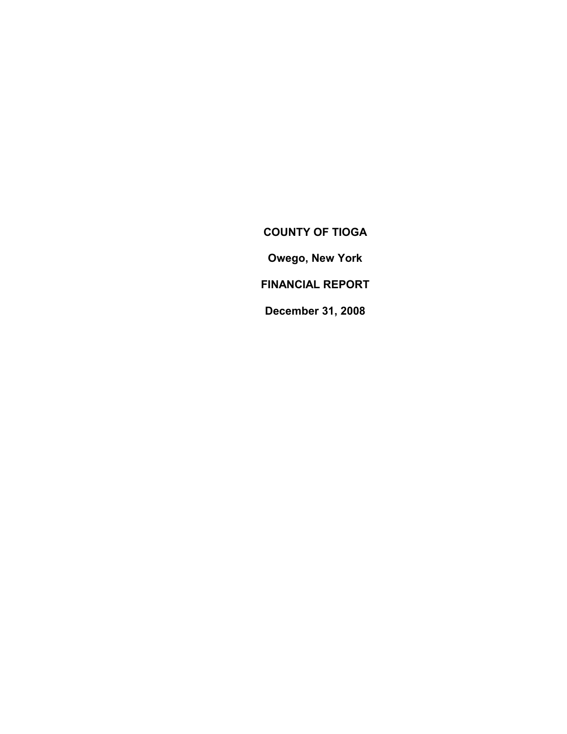**COUNTY OF TIOGA Owego, New York FINANCIAL REPORT**

**December 31, 2008**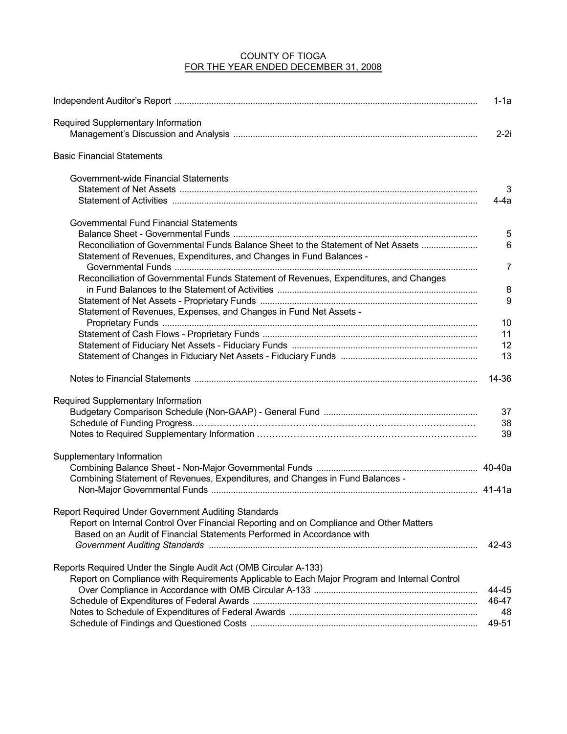# COUNTY OF TIOGA FOR THE YEAR ENDED DECEMBER 31, 2008

|                                                                                              | $1-1a$         |
|----------------------------------------------------------------------------------------------|----------------|
| Required Supplementary Information                                                           | $2-2i$         |
| <b>Basic Financial Statements</b>                                                            |                |
| Government-wide Financial Statements                                                         |                |
|                                                                                              | 3              |
|                                                                                              | 4-4a           |
| Governmental Fund Financial Statements                                                       |                |
|                                                                                              | 5              |
| Reconciliation of Governmental Funds Balance Sheet to the Statement of Net Assets            | 6              |
| Statement of Revenues, Expenditures, and Changes in Fund Balances -                          |                |
|                                                                                              | $\overline{7}$ |
| Reconciliation of Governmental Funds Statement of Revenues, Expenditures, and Changes        |                |
|                                                                                              | 8              |
|                                                                                              | 9              |
| Statement of Revenues, Expenses, and Changes in Fund Net Assets -                            |                |
|                                                                                              | 10             |
|                                                                                              | 11             |
|                                                                                              | 12             |
|                                                                                              | 13             |
|                                                                                              | 14-36          |
| Required Supplementary Information                                                           |                |
|                                                                                              | 37             |
|                                                                                              | 38             |
|                                                                                              | 39             |
|                                                                                              |                |
| Supplementary Information                                                                    |                |
| Combining Statement of Revenues, Expenditures, and Changes in Fund Balances -                |                |
|                                                                                              |                |
|                                                                                              |                |
| Report Required Under Government Auditing Standards                                          |                |
| Report on Internal Control Over Financial Reporting and on Compliance and Other Matters      |                |
| Based on an Audit of Financial Statements Performed in Accordance with                       |                |
|                                                                                              | 42-43          |
| Reports Required Under the Single Audit Act (OMB Circular A-133)                             |                |
| Report on Compliance with Requirements Applicable to Each Major Program and Internal Control |                |
|                                                                                              | 44-45          |
|                                                                                              | 46-47          |
|                                                                                              | 48             |
|                                                                                              | 49-51          |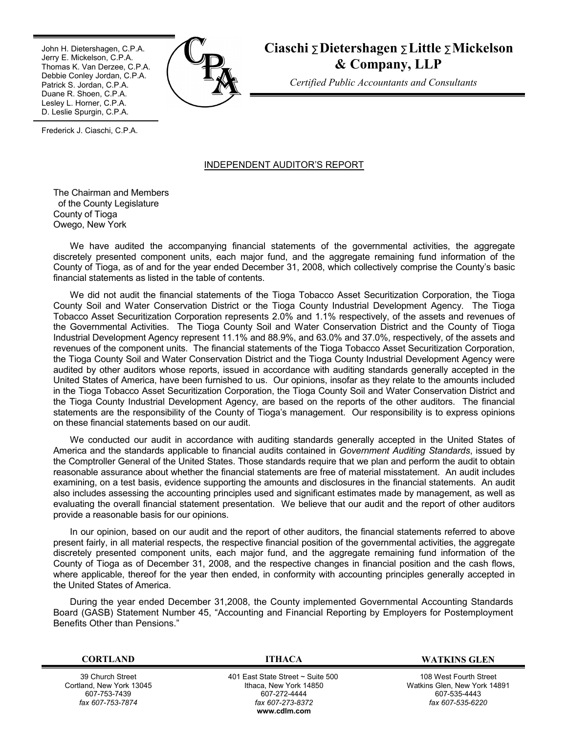John H. Dietershagen, C.P.A. Jerry E. Mickelson, C.P.A. Thomas K. Van Derzee, C.P.A. Debbie Conley Jordan, C.P.A. Patrick S. Jordan, C.P.A. Duane R. Shoen, C.P.A. Lesley L. Horner, C.P.A. D. Leslie Spurgin, C.P.A.



# **Ciaschi Dietershagen Little Mickelson & Company, LLP**

*Certified Public Accountants and Consultants*

Frederick J. Ciaschi, C.P.A.

# INDEPENDENT AUDITOR'S REPORT

The Chairman and Members of the County Legislature County of Tioga Owego, New York

We have audited the accompanying financial statements of the governmental activities, the aggregate discretely presented component units, each major fund, and the aggregate remaining fund information of the County of Tioga, as of and for the year ended December 31, 2008, which collectively comprise the County's basic financial statements as listed in the table of contents.

We did not audit the financial statements of the Tioga Tobacco Asset Securitization Corporation, the Tioga County Soil and Water Conservation District or the Tioga County Industrial Development Agency. The Tioga Tobacco Asset Securitization Corporation represents 2.0% and 1.1% respectively, of the assets and revenues of the Governmental Activities. The Tioga County Soil and Water Conservation District and the County of Tioga Industrial Development Agency represent 11.1% and 88.9%, and 63.0% and 37.0%, respectively, of the assets and revenues of the component units. The financial statements of the Tioga Tobacco Asset Securitization Corporation, the Tioga County Soil and Water Conservation District and the Tioga County Industrial Development Agency were audited by other auditors whose reports, issued in accordance with auditing standards generally accepted in the United States of America, have been furnished to us. Our opinions, insofar as they relate to the amounts included in the Tioga Tobacco Asset Securitization Corporation, the Tioga County Soil and Water Conservation District and the Tioga County Industrial Development Agency, are based on the reports of the other auditors. The financial statements are the responsibility of the County of Tioga's management. Our responsibility is to express opinions on these financial statements based on our audit.

We conducted our audit in accordance with auditing standards generally accepted in the United States of America and the standards applicable to financial audits contained in *Government Auditing Standards*, issued by the Comptroller General of the United States. Those standards require that we plan and perform the audit to obtain reasonable assurance about whether the financial statements are free of material misstatement. An audit includes examining, on a test basis, evidence supporting the amounts and disclosures in the financial statements. An audit also includes assessing the accounting principles used and significant estimates made by management, as well as evaluating the overall financial statement presentation. We believe that our audit and the report of other auditors provide a reasonable basis for our opinions.

In our opinion, based on our audit and the report of other auditors, the financial statements referred to above present fairly, in all material respects, the respective financial position of the governmental activities, the aggregate discretely presented component units, each major fund, and the aggregate remaining fund information of the County of Tioga as of December 31, 2008, and the respective changes in financial position and the cash flows, where applicable, thereof for the year then ended, in conformity with accounting principles generally accepted in the United States of America.

During the year ended December 31,2008, the County implemented Governmental Accounting Standards Board (GASB) Statement Number 45, "Accounting and Financial Reporting by Employers for Postemployment Benefits Other than Pensions."

39 Church Street Cortland, New York 13045 607-753-7439 *fax 607-753-7874*

401 East State Street ~ Suite 500 Ithaca, New York 14850 607-272-4444 *fax 607-273-8372* **w[ww.cdlm.com](www.cdlm.com)**

**CORTLAND ITHACA WATKINS GLEN**

108 West Fourth Street Watkins Glen, New York 14891 607-535-4443 *fax 607-535-6220*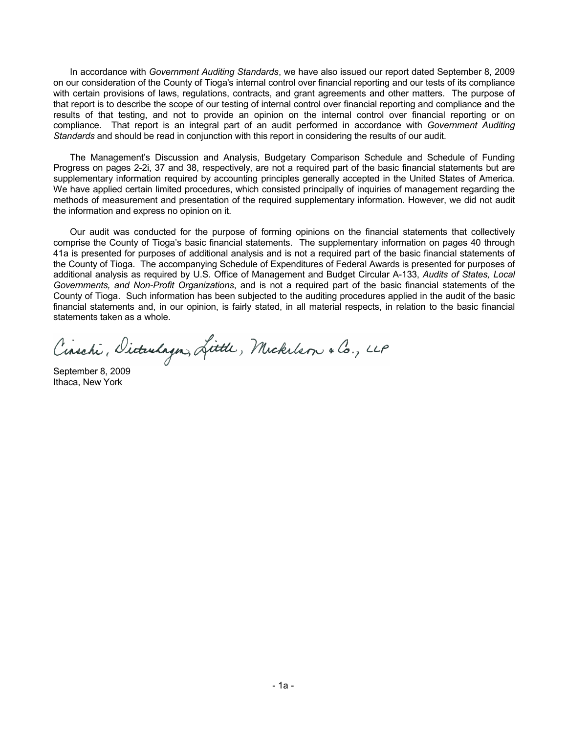In accordance with *Government Auditing Standards*, we have also issued our report dated September 8, 2009 on our consideration of the County of Tioga's internal control over financial reporting and our tests of its compliance with certain provisions of laws, regulations, contracts, and grant agreements and other matters. The purpose of that report is to describe the scope of our testing of internal control over financial reporting and compliance and the results of that testing, and not to provide an opinion on the internal control over financial reporting or on compliance. That report is an integral part of an audit performed in accordance with *Government Auditing Standards* and should be read in conjunction with this report in considering the results of our audit.

The Management's Discussion and Analysis, Budgetary Comparison Schedule and Schedule of Funding Progress on pages 2-2i, 37 and 38, respectively, are not a required part of the basic financial statements but are supplementary information required by accounting principles generally accepted in the United States of America. We have applied certain limited procedures, which consisted principally of inquiries of management regarding the methods of measurement and presentation of the required supplementary information. However, we did not audit the information and express no opinion on it.

Our audit was conducted for the purpose of forming opinions on the financial statements that collectively comprise the County of Tioga's basic financial statements. The supplementary information on pages 40 through 41a is presented for purposes of additional analysis and is not a required part of the basic financial statements of the County of Tioga. The accompanying Schedule of Expenditures of Federal Awards is presented for purposes of additional analysis as required by U.S. Office of Management and Budget Circular A-133, *Audits of States, Local Governments, and Non-Profit Organizations*, and is not a required part of the basic financial statements of the County of Tioga. Such information has been subjected to the auditing procedures applied in the audit of the basic financial statements and, in our opinion, is fairly stated, in all material respects, in relation to the basic financial statements taken as a whole.

Cinschi, Dicturlagn, Little, Mickelson & Co., LLP

September 8, 2009 Ithaca, New York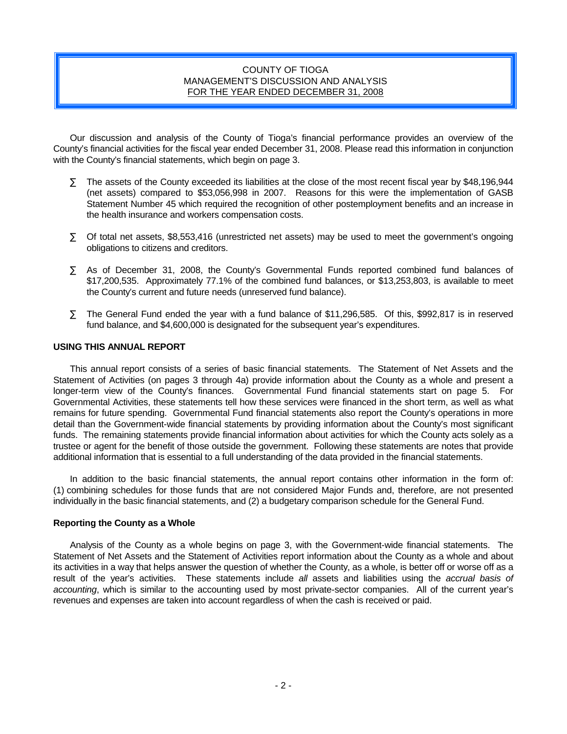Our discussion and analysis of the County of Tioga's financial performance provides an overview of the County's financial activities for the fiscal year ended December 31, 2008. Please read this information in conjunction with the County's financial statements, which begin on page 3.

- The assets of the County exceeded its liabilities at the close of the most recent fiscal year by \$48,196,944 l, (net assets) compared to \$53,056,998 in 2007. Reasons for this were the implementation of GASB Statement Number 45 which required the recognition of other postemployment benefits and an increase in the health insurance and workers compensation costs.
- Of total net assets, \$8,553,416 (unrestricted net assets) may be used to meet the government's ongoing  $\epsilon$ obligations to citizens and creditors.
- $\mathbf{r}$ As of December 31, 2008, the County's Governmental Funds reported combined fund balances of \$17,200,535. Approximately 77.1% of the combined fund balances, or \$13,253,803, is available to meet the County's current and future needs (unreserved fund balance).
- The General Fund ended the year with a fund balance of \$11,296,585. Of this, \$992,817 is in reserved fund balance, and \$4,600,000 is designated for the subsequent year's expenditures.

# **USING THIS ANNUAL REPORT**

This annual report consists of a series of basic financial statements. The Statement of Net Assets and the Statement of Activities (on pages 3 through 4a) provide information about the County as a whole and present a longer-term view of the County's finances. Governmental Fund financial statements start on page 5. For Governmental Activities, these statements tell how these services were financed in the short term, as well as what remains for future spending. Governmental Fund financial statements also report the County's operations in more detail than the Government-wide financial statements by providing information about the County's most significant funds. The remaining statements provide financial information about activities for which the County acts solely as a trustee or agent for the benefit of those outside the government. Following these statements are notes that provide additional information that is essential to a full understanding of the data provided in the financial statements.

In addition to the basic financial statements, the annual report contains other information in the form of: (1) combining schedules for those funds that are not considered Major Funds and, therefore, are not presented individually in the basic financial statements, and (2) a budgetary comparison schedule for the General Fund.

## **Reporting the County as a Whole**

Analysis of the County as a whole begins on page 3, with the Government-wide financial statements. The Statement of Net Assets and the Statement of Activities report information about the County as a whole and about its activities in a way that helps answer the question of whether the County, as a whole, is better off or worse off as a result of the year's activities. These statements include *all* assets and liabilities using the *accrual basis of accounting*, which is similar to the accounting used by most private-sector companies. All of the current year's revenues and expenses are taken into account regardless of when the cash is received or paid.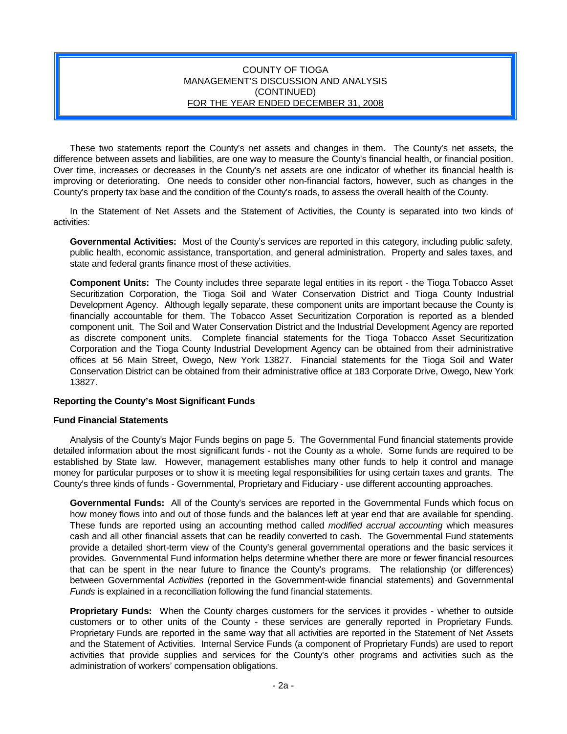These two statements report the County's net assets and changes in them. The County's net assets, the difference between assets and liabilities, are one way to measure the County's financial health, or financial position. Over time, increases or decreases in the County's net assets are one indicator of whether its financial health is improving or deteriorating. One needs to consider other non-financial factors, however, such as changes in the County's property tax base and the condition of the County's roads, to assess the overall health of the County.

In the Statement of Net Assets and the Statement of Activities, the County is separated into two kinds of activities:

**Governmental Activities:** Most of the County's services are reported in this category, including public safety, public health, economic assistance, transportation, and general administration. Property and sales taxes, and state and federal grants finance most of these activities.

**Component Units:** The County includes three separate legal entities in its report - the Tioga Tobacco Asset Securitization Corporation, the Tioga Soil and Water Conservation District and Tioga County Industrial Development Agency. Although legally separate, these component units are important because the County is financially accountable for them. The Tobacco Asset Securitization Corporation is reported as a blended component unit. The Soil and Water Conservation District and the Industrial Development Agency are reported as discrete component units. Complete financial statements for the Tioga Tobacco Asset Securitization Corporation and the Tioga County Industrial Development Agency can be obtained from their administrative offices at 56 Main Street, Owego, New York 13827. Financial statements for the Tioga Soil and Water Conservation District can be obtained from their administrative office at 183 Corporate Drive, Owego, New York 13827.

## **Reporting the County's Most Significant Funds**

#### **Fund Financial Statements**

Analysis of the County's Major Funds begins on page 5. The Governmental Fund financial statements provide detailed information about the most significant funds - not the County as a whole. Some funds are required to be established by State law. However, management establishes many other funds to help it control and manage money for particular purposes or to show it is meeting legal responsibilities for using certain taxes and grants. The County's three kinds of funds - Governmental, Proprietary and Fiduciary - use different accounting approaches.

**Governmental Funds:** All of the County's services are reported in the Governmental Funds which focus on how money flows into and out of those funds and the balances left at year end that are available for spending. These funds are reported using an accounting method called *modified accrual accounting* which measures cash and all other financial assets that can be readily converted to cash. The Governmental Fund statements provide a detailed short-term view of the County's general governmental operations and the basic services it provides. Governmental Fund information helps determine whether there are more or fewer financial resources that can be spent in the near future to finance the County's programs. The relationship (or differences) between Governmental *Activities* (reported in the Government-wide financial statements) and Governmental *Funds* is explained in a reconciliation following the fund financial statements.

**Proprietary Funds:** When the County charges customers for the services it provides - whether to outside customers or to other units of the County - these services are generally reported in Proprietary Funds. Proprietary Funds are reported in the same way that all activities are reported in the Statement of Net Assets and the Statement of Activities. Internal Service Funds (a component of Proprietary Funds) are used to report activities that provide supplies and services for the County's other programs and activities such as the administration of workers' compensation obligations.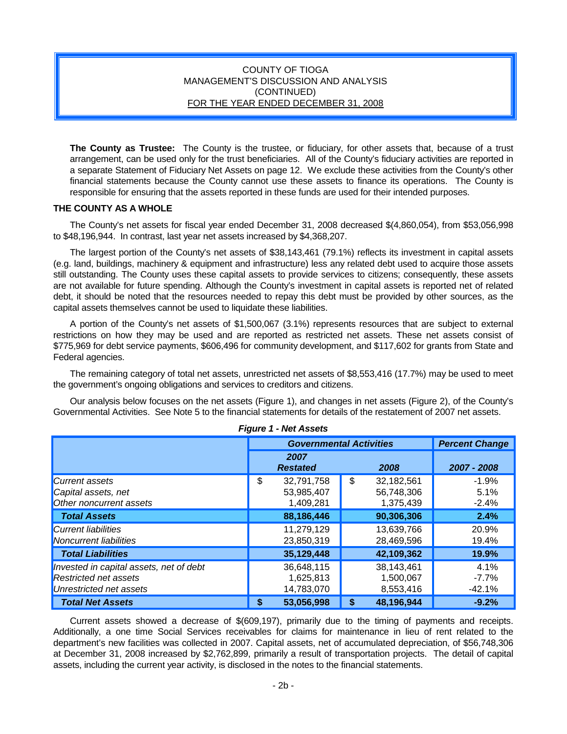**The County as Trustee:** The County is the trustee, or fiduciary, for other assets that, because of a trust arrangement, can be used only for the trust beneficiaries. All of the County's fiduciary activities are reported in a separate Statement of Fiduciary Net Assets on page 12. We exclude these activities from the County's other financial statements because the County cannot use these assets to finance its operations. The County is responsible for ensuring that the assets reported in these funds are used for their intended purposes.

# **THE COUNTY AS A WHOLE**

The County's net assets for fiscal year ended December 31, 2008 decreased \$(4,860,054), from \$53,056,998 to \$48,196,944. In contrast, last year net assets increased by \$4,368,207.

The largest portion of the County's net assets of \$38,143,461 (79.1%) reflects its investment in capital assets (e.g. land, buildings, machinery & equipment and infrastructure) less any related debt used to acquire those assets still outstanding. The County uses these capital assets to provide services to citizens; consequently, these assets are not available for future spending. Although the County's investment in capital assets is reported net of related debt, it should be noted that the resources needed to repay this debt must be provided by other sources, as the capital assets themselves cannot be used to liquidate these liabilities.

A portion of the County's net assets of \$1,500,067 (3.1%) represents resources that are subject to external restrictions on how they may be used and are reported as restricted net assets. These net assets consist of \$775,969 for debt service payments, \$606,496 for community development, and \$117,602 for grants from State and Federal agencies.

The remaining category of total net assets, unrestricted net assets of \$8,553,416 (17.7%) may be used to meet the government's ongoing obligations and services to creditors and citizens.

Our analysis below focuses on the net assets (Figure 1), and changes in net assets (Figure 2), of the County's Governmental Activities. See Note 5 to the financial statements for details of the restatement of 2007 net assets. *Figure 1 - Net Assets*

| <b>Figure 1 - Net Assets</b>            |    |                                |    |            |                       |  |  |
|-----------------------------------------|----|--------------------------------|----|------------|-----------------------|--|--|
|                                         |    | <b>Governmental Activities</b> |    |            | <b>Percent Change</b> |  |  |
|                                         |    | 2007                           |    |            |                       |  |  |
|                                         |    | <b>Restated</b>                |    | 2008       | 2007 - 2008           |  |  |
| Current assets                          | \$ | 32,791,758                     | \$ | 32,182,561 | $-1.9%$               |  |  |
| Capital assets, net                     |    | 53,985,407                     |    | 56,748,306 | 5.1%                  |  |  |
| Other noncurrent assets                 |    | 1,409,281                      |    | 1,375,439  | $-2.4%$               |  |  |
| <b>Total Assets</b>                     |    | 88,186,446                     |    | 90,306,306 | 2.4%                  |  |  |
| <b>Current liabilities</b>              |    | 11,279,129                     |    | 13,639,766 | 20.9%                 |  |  |
| Noncurrent liabilities                  |    | 23,850,319                     |    | 28,469,596 | 19.4%                 |  |  |
| <b>Total Liabilities</b>                |    | 35,129,448                     |    | 42,109,362 | 19.9%                 |  |  |
| Invested in capital assets, net of debt |    | 36,648,115                     |    | 38,143,461 | 4.1%                  |  |  |
| <b>Restricted net assets</b>            |    | 1,625,813                      |    | 1,500,067  | $-7.7%$               |  |  |
| Unrestricted net assets                 |    | 14,783,070                     |    | 8,553,416  | $-42.1%$              |  |  |
| <b>Total Net Assets</b>                 | S  | 53,056,998                     | \$ | 48,196,944 | $-9.2%$               |  |  |

Current assets showed a decrease of \$(609,197), primarily due to the timing of payments and receipts. Additionally, a one time Social Services receivables for claims for maintenance in lieu of rent related to the department's new facilities was collected in 2007. Capital assets, net of accumulated depreciation, of \$56,748,306 at December 31, 2008 increased by \$2,762,899, primarily a result of transportation projects. The detail of capital assets, including the current year activity, is disclosed in the notes to the financial statements.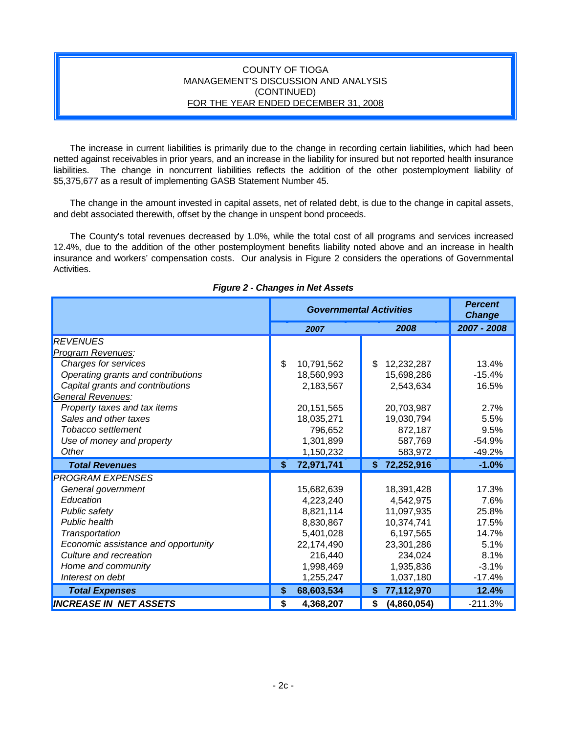The increase in current liabilities is primarily due to the change in recording certain liabilities, which had been netted against receivables in prior years, and an increase in the liability for insured but not reported health insurance liabilities. The change in noncurrent liabilities reflects the addition of the other postemployment liability of \$5,375,677 as a result of implementing GASB Statement Number 45.

The change in the amount invested in capital assets, net of related debt, is due to the change in capital assets, and debt associated therewith, offset by the change in unspent bond proceeds.

The County's total revenues decreased by 1.0%, while the total cost of all programs and services increased 12.4%, due to the addition of the other postemployment benefits liability noted above and an increase in health insurance and workers' compensation costs. Our analysis in Figure 2 considers the operations of Governmental Activities.

|                                     | <b>Governmental Activities</b> | <b>Percent</b><br><b>Change</b> |           |
|-------------------------------------|--------------------------------|---------------------------------|-----------|
|                                     | 2007                           | 2007 - 2008                     |           |
| <b>REVENUES</b>                     |                                |                                 |           |
| Program Revenues:                   |                                |                                 |           |
| Charges for services                | \$<br>10,791,562               | \$<br>12,232,287                | 13.4%     |
| Operating grants and contributions  | 18,560,993                     | 15,698,286                      | $-15.4%$  |
| Capital grants and contributions    | 2,183,567                      | 2,543,634                       | 16.5%     |
| General Revenues:                   |                                |                                 |           |
| Property taxes and tax items        | 20,151,565                     | 20,703,987                      | 2.7%      |
| Sales and other taxes               | 18,035,271                     | 19,030,794                      | 5.5%      |
| Tobacco settlement                  | 796,652                        | 872,187                         | 9.5%      |
| Use of money and property           | 1,301,899                      | 587,769                         | $-54.9%$  |
| Other                               | 1,150,232                      | 583,972                         | $-49.2%$  |
| <b>Total Revenues</b>               | \$<br>72,971,741               | \$<br>72,252,916                | $-1.0%$   |
| <b>PROGRAM EXPENSES</b>             |                                |                                 |           |
| General government                  | 15,682,639                     | 18,391,428                      | 17.3%     |
| Education                           | 4,223,240                      | 4,542,975                       | 7.6%      |
| Public safety                       | 8,821,114                      | 11,097,935                      | 25.8%     |
| Public health                       | 8,830,867                      | 10,374,741                      | 17.5%     |
| Transportation                      | 5,401,028                      | 6,197,565                       | 14.7%     |
| Economic assistance and opportunity | 22,174,490                     | 23,301,286                      | 5.1%      |
| Culture and recreation              | 216,440                        | 234,024                         | 8.1%      |
| Home and community                  | 1,998,469                      | 1,935,836                       | $-3.1%$   |
| Interest on debt                    | 1,255,247                      | 1,037,180                       | $-17.4%$  |
| <b>Total Expenses</b>               | \$<br>68,603,534               | \$<br>77,112,970                | 12.4%     |
| <b>INCREASE IN NET ASSETS</b>       | \$<br>4,368,207                | \$<br>(4,860,054)               | $-211.3%$ |

# *Figure 2 - Changes in Net Assets*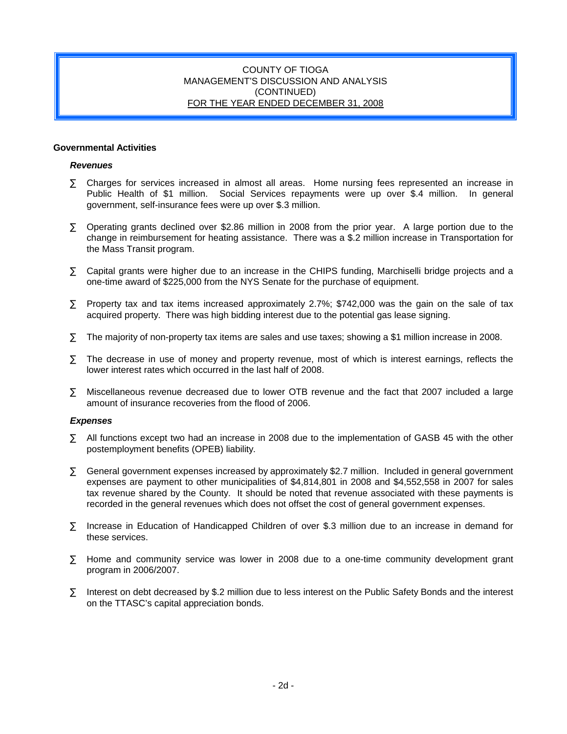# **Governmental Activities**

## *Revenues*

- Charges for services increased in almost all areas. Home nursing fees represented an increase in Public Health of \$1 million. Social Services repayments were up over \$.4 million. In general government, self-insurance fees were up over \$.3 million.
- Operating grants declined over \$2.86 million in 2008 from the prior year. A large portion due to the change in reimbursement for heating assistance. There was a \$.2 million increase in Transportation for the Mass Transit program.
- Capital grants were higher due to an increase in the CHIPS funding, Marchiselli bridge projects and a one-time award of \$225,000 from the NYS Senate for the purchase of equipment.
- Property tax and tax items increased approximately 2.7%; \$742,000 was the gain on the sale of tax acquired property. There was high bidding interest due to the potential gas lease signing.
- The majority of non-property tax items are sales and use taxes; showing a \$1 million increase in 2008.  $\blacksquare$
- The decrease in use of money and property revenue, most of which is interest earnings, reflects the  $\cdot$ lower interest rates which occurred in the last half of 2008.
- Miscellaneous revenue decreased due to lower OTB revenue and the fact that 2007 included a large amount of insurance recoveries from the flood of 2006.

## *Expenses*

- All functions except two had an increase in 2008 due to the implementation of GASB 45 with the other postemployment benefits (OPEB) liability.
- General government expenses increased by approximately \$2.7 million. Included in general government expenses are payment to other municipalities of \$4,814,801 in 2008 and \$4,552,558 in 2007 for sales tax revenue shared by the County. It should be noted that revenue associated with these payments is recorded in the general revenues which does not offset the cost of general government expenses.
- Increase in Education of Handicapped Children of over \$.3 million due to an increase in demand for these services.
- Home and community service was lower in 2008 due to a one-time community development grant program in 2006/2007.
- Interest on debt decreased by \$.2 million due to less interest on the Public Safety Bonds and the interest on the TTASC's capital appreciation bonds.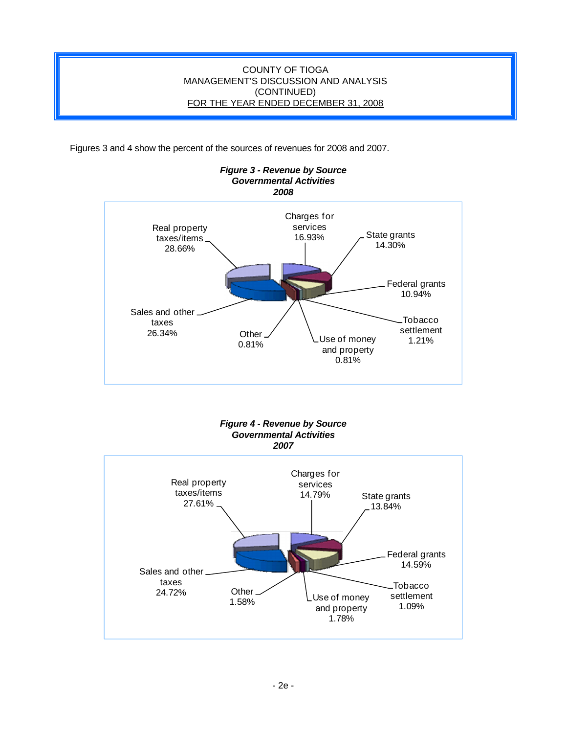Figures 3 and 4 show the percent of the sources of revenues for 2008 and 2007.



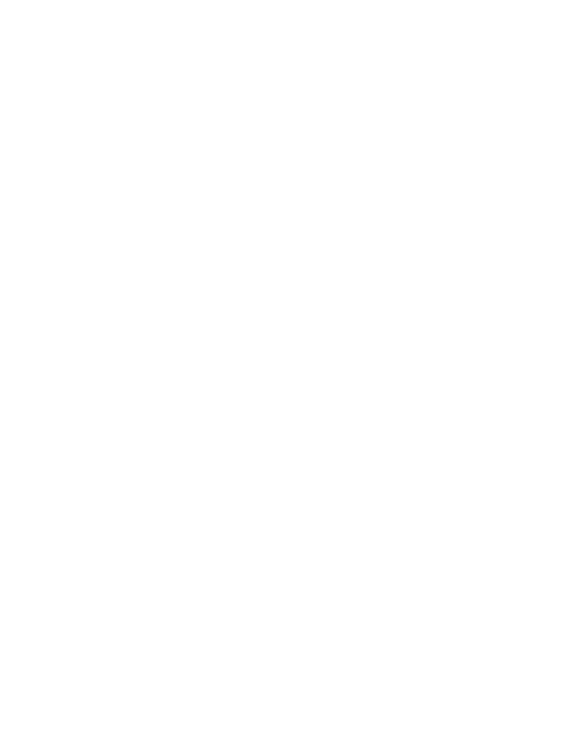!"#\$ %& '()\*)+,#-.)\$/ 0&1&2& !)++3 4& 5(67)8, "\$/ 0&1&2&  $9#$ ":-, ;& <-\$ ')+=))/ 0&1&2&  $\frac{1}{2}$  = () 0"\$8)3 !"+?-\$/0&1&2&  $1 - (-67)$  @& !"+?-\$/0&1&2&  $(A-$)$  B&  $@#$ ")\$/0&1&2&  $C$ ), 8) 3  $C$ & %"+\$) +/ 0& 1& 2& '& C), 8() @DA+.(\$/0&1&2&

# !012340 (05657241859%066:503<5:2=9  $> I = ?$  @ 19AB %%C

 $!$ "#\$%&%"' ()\*+%, -,,,)/\$0/\$1 0/'  $!/1$ )+\$0/\$1

 $E+$ ?)+(67 !& 0(-,6#(/ 0&1&2&

#### 

 $9#)$  0#-(+:-\$ -\$? 5):>)+,  $\vert$  \*#) 0"A\$\*3 C).(,8-\*A+) 0"A\$\*3 "[9(".- $YI)."$  / H)I  $J''+7$ 

!"#\$%&'(

(\$) #-\) -A?(\*)? \*#) -66":D-\$3(\$. [(\$-\$6(- 8, \*-\*):)\$\*, "[ \*#) ."\)+\$:)\$\*-8 -6\*(\(\*(),/ \*#) -..+).-\*)  $?(.6+)$ <sup>\*</sup>)83 D+).)\$\*)? 6":D"\$)\$\* A\$(\*,/)-6# :-]"+ [A\$?/ -\$? \*#) -..+).-\*) +):-(\$(\$. [A\$? (\$["+:-\*("\$ "[ \*#) 0"A\$\*3 "[9(".- /-, "[-\$? ["+ \*#) 3)-+ )\$ ?)? ')6):>)+ FK/ WLLR / I#(6# 6"88)6\*(\)83 6":D+(,) \*#) 0"A\$\*3Z, >-,(6  $[(\$-\$6(-8, *-*))\$ \*, -, 8(,\*)? (\$ \*#) \*->8) "[6"\$\*)\$\*,&

S) ?(? \$"\* -A?(\* \*#) [(\$-\$6(-8 ,\*-\*):)\$\*, "[ \*#) 9(".- 9"> -66" 2,,)\* @)6A+(\*(=-\*("\$ 0"+D"+-\*("\$/ \*#) 9(".- $0''A\$ <sup>\*</sup>3  $@''(8-$  - \$? S-\*)+  $0''$ \$.)+\-\*("\$ '(.\*+(6\* "+ <sup>\*</sup>#) 9(" - 0"A\$\*3 V\$?A,\*+(-8 ')\)8"D:)\$\* 2.)\$6 3& 9#) 9(" - $9" > -66"$  2,,)\* @)6A+(\*(=-\*("\$ 0"+D"+-\*("\$ +)D+),)\$\*, W&L^ -\$? K&K^ +),D)6\*(\)83' "[ \*#) -,,)\*, -\$? +)\ )\$A), "[ \*#)  $T''\$  +\$:) \$\*-8 26\*(\(\*(), & 9#) 9(" - 0"A\$\*3 <sup>^</sup> @"(8 -\$? S-\*)+ 0"\$,)+\-\*("\$ '(,\*+(6\* -\$? \*#) 0"A\$\*3 <sup>"</sup>I' 9(" - $V$?A.*+(-8)/8"D:)$ \$\* 2.)\$63  $+$ )D+),) $\frac{2}{3}$ \* KK&K- $\frac{2}{3}$ ? RR&G - $\frac{2}{3}$ ? OF&L - $\frac{2}{3}$ ? FP&L / +),D)6\*(\)83/ "[\*#) -,,)\*, - $\frac{2}{3}$ ? +)\)\$A), "[ \*#) 6":D"\$)\$\* A\$( \*,&\_9#) [(\$-\$6(-8 ,\*-\*):)\$\*, "[ \*#) 9(".- 9">-66" 2,,)\* @)6A+(\*(=-\*("\$\_0"+D"+-\*("\$/<br>\*#) 9(".- 0"A\$\*3 @"(8 -\$? S -\*)+ 0"\$,)+\-\*("\$ '(,\*+(6\* -\$? \*#) 9(".- 0"A\$\*3 V\$?A,\*+(-8 ')\)8"D:)\$\* 2.)\$6  $-A$ ?(\*)? >3 "\*#)+ -A?(\*"+, l#",) +)D"+\*,/ (,,A)? (\$ -66"+?-\$6)  $\left[\binom{*}{+}$  -A?(\*(\$, ,\*-\$?-+?, .)\$)+-883 -66)D\*)? (\$ \*#)  $X\$(^*)$ ? @\*-\*), "[2:)+(6-/ #-\) >))\$ [A+\$(,#)? \*" A,& YA+ "D(\$("\$,/ (\$,"[-+ -, \*#)3 +)8-\*) \*" \*#) -:"A\$\*, (\$68A?)?  $($ \$\*#) 9(" - 9">-66" 2,,)\* @)6A+(\*(=-\*("\$ 0"+D"+-\*("\$/ \*#) 9(" - 0"A\$\*3 @"(8 -\$? S -\*)+ 0"\$ ,)+\-\*("\$ '(,\*+(6\* -\$? \*#) 9(".- 0"A\$\*3 V\$?A,\*+(-8 ')\)8"D:)\$\* 2.)\$6 3/ -+) >-,)? "\$ \*#) +)D"+\*, "[ \*#) "\*#)+ -A?(\*"+,& 9#) [(\$-\$6(-8 \*-\*):)\$\*, -+) \*#) +),D"\$,(>(8(\*3 "[ \*#) 0"A\$\*3 "[ 9(".- Z, :-\$-.):)\$\*& YA+ +),D"\$,(>(8(\*3 (, \*" )\_D+),, "D(\$("\$, "\$ \*#),)  $[(\$$ -\$6(-8, \*-\*):) $\$$ \*, >-,)? "\$ "A+ -A?(\*&

S) 6"\$?A6\*)? "A+ -A?(\* (\$ -66"+?-\$6) I(\*# -A?(\*(\$.,\*-\$?-+?, .)\$)+-883 -66)D\*)? (\$ \*#) X\$(\*)? @\*-\*), "[ 2: )+(6- -\$? \*#),\*-\$?-+?, -DD8(6->8) \*" [(\$-\$6(-8 -A?(\*, 6"\$\*-(\$)? (\$ -./0123024 56784829 :4"27"17; / (,,A)? >3 \*#) 0":D\*+"88)+ T)\$)+-8 "[ \*#) X\$(\*)? @\*-\*),& 9#",) ,\*-\$?-+?, +)`A(+) \*#-\* I) D8-\$ -\$? D)+["+: \*#) -A?(\* \*" ">\*-(\$ +)-,"\$->8) -,,A+-\$6) ->"A\* l#)\*#)+ \*#) [(\$-\$6(-8, \*-\*):)\$\*, -+) [+)) "[:-\*)+(-8 :(,,\*- $*$ :) $\frac{25}{4}$  -A?(\* (\$68A?), )\_-:(\$(\$./ "\$ - \*),\* >-,(,/ )\(?)\$6) ,ADD"+\*(\$. \*#) -:"A\$\*, -\$? ?(,68",A+), (\$ \*#) [(\$-\$6(-8 ,\*-\*):)\$\*,& 2\$ -A?(\*  $-8$ ," (\$68A?),  $-$ <sub>1</sub>,,,(\$. \*#)  $-66''A$ \$\*(\$. D+(\$6(D8), A,)?  $-$ \$?,(.\$([(6-\$\*),\*(:-\*), :-?) >3 :-\$-.):)\$\*/ $-$ , 1)88 -)\ -8A-\*(\$. \*#) "\)+-88 [(\$-\$6(-8 ,\*-\*):)\$\* D+),)\$\*-\*("\$& S ) >)8()\) \*#-\* "A+ -A?(\* -\$? \*#) +)D"+\* "[ "\*#)+ -A?(\*"+,  $D+$ "\(?) - +)-,"\$->8) >-,(, ["+ "A+ "D(\$("\$, &

V\$ "A+ "D(\$("\$/b-,)? "\$ "A+ -A?(\* -\$? \*#) +)D"+\* "[ "\*#)+ -A?(\*"+, / \*#) [(\$-\$6(-8, \*-\*):)\$\*,  $+)[++)]$ ? \*" ->"\) D+),)\$\* [-(+83/ (\$ -88 :-\*)+(-8 +),D)6\*,/\*#) +),D)6\*(\) [(\$-\$6(-8 D",(\*("\$ "[ \*#) ."\)+\$:)\$\*-8 -6\*(\(\*(),/ \*#) -..+).-\*)  $?(.6+)$ <sup>\*</sup>)83 D+),)\$\*)? 6":D"\$)\$\* A\$(\*,/)-6# :-]"+ [A\$?/ -\$? \*#) -..+).-\*) +):-(\$(\$. [A\$? (\$["+:-\*("\$ "[ \*#) 0"A\$\*3 "[9(".- -, "[ ')6):>)+ FK/ WLLR / -\$? \*#) +),D)6\*(\) 6#-\$.), (\$ [(\$-\$6(-8 D",(\*("\$ -\$? \*#) 6-,# [8"I,/ I#)+) -DD8(6->8)/ \*#)+)"[ ["+ \*#) 3)-+ \*#)\$ )\$?)?/ (\$ 6"\$["+:(\*3 I(\*# -66"A\$\*(\$. D+(\$6(D8), .)\$)+-883 -66)D\*)? (\$ \*#)  $X\$ (\*)?  $@$ \*-\*), "[2:)+(6-&

'A+(\$. \*#) 3)-+ )\$?)? ')6):>)+ FK /WLLR/\*#) 0"A\$\*3 (: D8): )\$\*)? T"\)+\$:)\$\*-8 266"A\$\*(\$. @\*-\$?-+?, a"-+? bT2@ac @\*-\*):)\$\* HA:>)+ MN/ d266"A\$\*(\$. -\$? E (\$-\$6(-8 B)D"+\*(\$. >3 4:D8"3)+, ["+ 1",\*):D8"3:)\$\*  $a)$ \$)[(\*, Y\*#)+ \*#-\$ 1)\$,("\$,&e

 $\$^*$ &!&

 $+8\$ ,)'- .%/'

| FG 0#A+6# $@$ *+))*       | MLK 4-,* @*-*) @*+))*U @A(*) NLL | KLR S),* E"A+*# $@$ *+))*       |
|---------------------------|----------------------------------|---------------------------------|
| 0"+*8-\$?/ H)I J"+7 KFLMN | $V^*# - 6 - / H$ ) J"+7 KMRNL    | S- *7(\$, T8)\$/ H)I J"+7 KMRGK |
| OLROPNROPMEG              | OLROWPOMMMM                      | OLRINFNOMMME                    |
| $!$ "# \$%8 &() '&*&+     | $!$ "# \$%&,&) $'$ *)&,          | $!$ "# \$%8()( '\$,,%           |
|                           | !!!"#\$%&"#'&                    |                                 |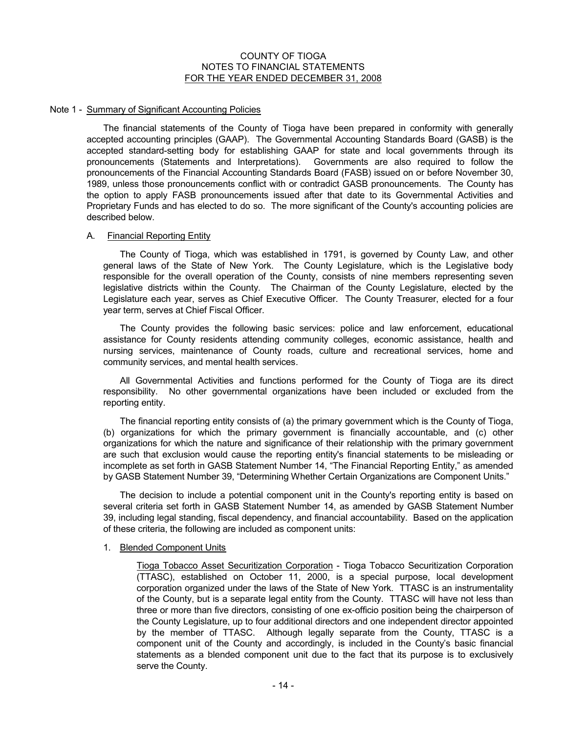# Note 1 - Summary of Significant Accounting Policies

The financial statements of the County of Tioga have been prepared in conformity with generally accepted accounting principles (GAAP). The Governmental Accounting Standards Board (GASB) is the accepted standard-setting body for establishing GAAP for state and local governments through its pronouncements (Statements and Interpretations). Governments are also required to follow the pronouncements of the Financial Accounting Standards Board (FASB) issued on or before November 30, 1989, unless those pronouncements conflict with or contradict GASB pronouncements. The County has the option to apply FASB pronouncements issued after that date to its Governmental Activities and Proprietary Funds and has elected to do so. The more significant of the County's accounting policies are described below.

# A. Financial Reporting Entity

The County of Tioga, which was established in 1791, is governed by County Law, and other general laws of the State of New York. The County Legislature, which is the Legislative body responsible for the overall operation of the County, consists of nine members representing seven legislative districts within the County. The Chairman of the County Legislature, elected by the Legislature each year, serves as Chief Executive Officer. The County Treasurer, elected for a four year term, serves at Chief Fiscal Officer.

The County provides the following basic services: police and law enforcement, educational assistance for County residents attending community colleges, economic assistance, health and nursing services, maintenance of County roads, culture and recreational services, home and community services, and mental health services.

All Governmental Activities and functions performed for the County of Tioga are its direct responsibility. No other governmental organizations have been included or excluded from the reporting entity.

The financial reporting entity consists of (a) the primary government which is the County of Tioga, (b) organizations for which the primary government is financially accountable, and (c) other organizations for which the nature and significance of their relationship with the primary government are such that exclusion would cause the reporting entity's financial statements to be misleading or incomplete as set forth in GASB Statement Number 14, "The Financial Reporting Entity," as amended by GASB Statement Number 39, "Determining Whether Certain Organizations are Component Units."

The decision to include a potential component unit in the County's reporting entity is based on several criteria set forth in GASB Statement Number 14, as amended by GASB Statement Number 39, including legal standing, fiscal dependency, and financial accountability. Based on the application of these criteria, the following are included as component units:

# 1. Blended Component Units

Tioga Tobacco Asset Securitization Corporation - Tioga Tobacco Securitization Corporation (TTASC), established on October 11, 2000, is a special purpose, local development corporation organized under the laws of the State of New York. TTASC is an instrumentality of the County, but is a separate legal entity from the County. TTASC will have not less than three or more than five directors, consisting of one ex-officio position being the chairperson of the County Legislature, up to four additional directors and one independent director appointed by the member of TTASC. Although legally separate from the County, TTASC is a component unit of the County and accordingly, is included in the County's basic financial statements as a blended component unit due to the fact that its purpose is to exclusively serve the County.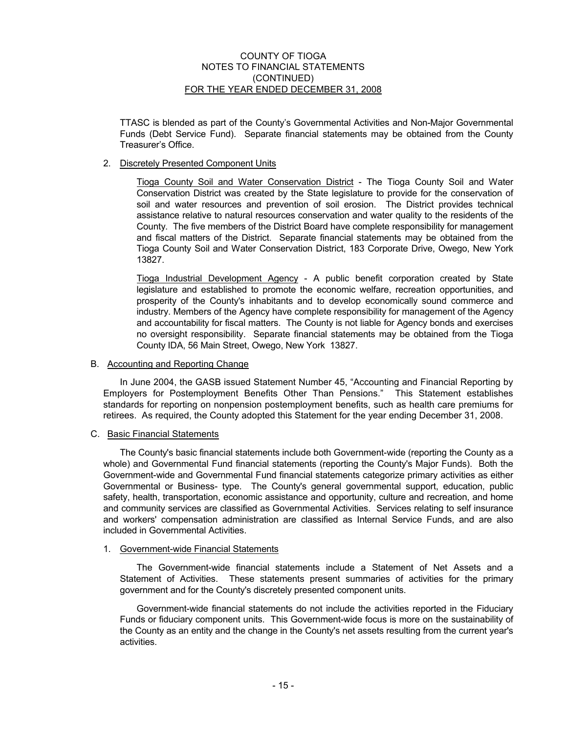TTASC is blended as part of the County's Governmental Activities and Non-Major Governmental Funds (Debt Service Fund). Separate financial statements may be obtained from the County Treasurer's Office.

# 2. Discretely Presented Component Units

Tioga County Soil and Water Conservation District - The Tioga County Soil and Water Conservation District was created by the State legislature to provide for the conservation of soil and water resources and prevention of soil erosion. The District provides technical assistance relative to natural resources conservation and water quality to the residents of the County. The five members of the District Board have complete responsibility for management and fiscal matters of the District. Separate financial statements may be obtained from the Tioga County Soil and Water Conservation District, 183 Corporate Drive, Owego, New York 13827.

Tioga Industrial Development Agency - A public benefit corporation created by State legislature and established to promote the economic welfare, recreation opportunities, and prosperity of the County's inhabitants and to develop economically sound commerce and industry. Members of the Agency have complete responsibility for management of the Agency and accountability for fiscal matters. The County is not liable for Agency bonds and exercises no oversight responsibility. Separate financial statements may be obtained from the Tioga County IDA, 56 Main Street, Owego, New York 13827.

# B. Accounting and Reporting Change

In June 2004, the GASB issued Statement Number 45, "Accounting and Financial Reporting by Employers for Postemployment Benefits Other Than Pensions." This Statement establishes standards for reporting on nonpension postemployment benefits, such as health care premiums for retirees. As required, the County adopted this Statement for the year ending December 31, 2008.

## C. Basic Financial Statements

The County's basic financial statements include both Government-wide (reporting the County as a whole) and Governmental Fund financial statements (reporting the County's Major Funds). Both the Government-wide and Governmental Fund financial statements categorize primary activities as either Governmental or Business- type. The County's general governmental support, education, public safety, health, transportation, economic assistance and opportunity, culture and recreation, and home and community services are classified as Governmental Activities. Services relating to self insurance and workers' compensation administration are classified as Internal Service Funds, and are also included in Governmental Activities.

## 1. Government-wide Financial Statements

The Government-wide financial statements include a Statement of Net Assets and a Statement of Activities. These statements present summaries of activities for the primary government and for the County's discretely presented component units.

Government-wide financial statements do not include the activities reported in the Fiduciary Funds or fiduciary component units. This Government-wide focus is more on the sustainability of the County as an entity and the change in the County's net assets resulting from the current year's activities.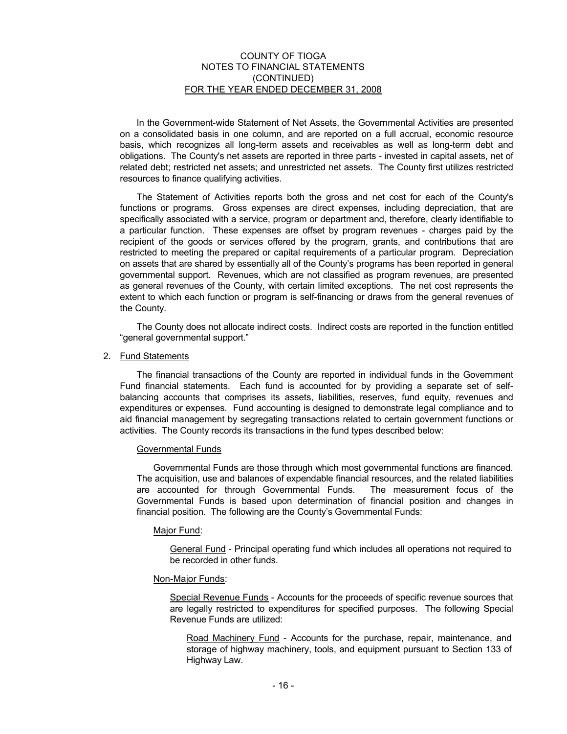In the Government-wide Statement of Net Assets, the Governmental Activities are presented on a consolidated basis in one column, and are reported on a full accrual, economic resource basis, which recognizes all long-term assets and receivables as well as long-term debt and obligations. The County's net assets are reported in three parts - invested in capital assets, net of related debt; restricted net assets; and unrestricted net assets. The County first utilizes restricted resources to finance qualifying activities.

The Statement of Activities reports both the gross and net cost for each of the County's functions or programs. Gross expenses are direct expenses, including depreciation, that are specifically associated with a service, program or department and, therefore, clearly identifiable to a particular function. These expenses are offset by program revenues - charges paid by the recipient of the goods or services offered by the program, grants, and contributions that are restricted to meeting the prepared or capital requirements of a particular program. Depreciation on assets that are shared by essentially all of the County's programs has been reported in general governmental support. Revenues, which are not classified as program revenues, are presented as general revenues of the County, with certain limited exceptions. The net cost represents the extent to which each function or program is self-financing or draws from the general revenues of the County.

The County does not allocate indirect costs. Indirect costs are reported in the function entitled "general governmental support."

## 2. Fund Statements

The financial transactions of the County are reported in individual funds in the Government Fund financial statements. Each fund is accounted for by providing a separate set of selfbalancing accounts that comprises its assets, liabilities, reserves, fund equity, revenues and expenditures or expenses. Fund accounting is designed to demonstrate legal compliance and to aid financial management by segregating transactions related to certain government functions or activities. The County records its transactions in the fund types described below:

## Governmental Funds

Governmental Funds are those through which most governmental functions are financed. The acquisition, use and balances of expendable financial resources, and the related liabilities are accounted for through Governmental Funds. The measurement focus of the Governmental Funds is based upon determination of financial position and changes in financial position. The following are the County's Governmental Funds:

## Major Fund:

General Fund - Principal operating fund which includes all operations not required to be recorded in other funds.

## Non-Major Funds:

Special Revenue Funds - Accounts for the proceeds of specific revenue sources that are legally restricted to expenditures for specified purposes. The following Special Revenue Funds are utilized:

Road Machinery Fund - Accounts for the purchase, repair, maintenance, and storage of highway machinery, tools, and equipment pursuant to Section 133 of Highway Law.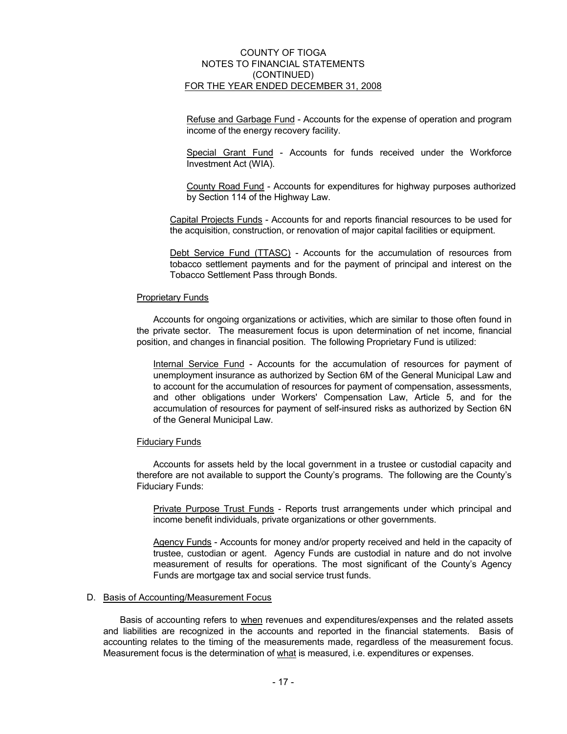Refuse and Garbage Fund - Accounts for the expense of operation and program income of the energy recovery facility.

Special Grant Fund - Accounts for funds received under the Workforce Investment Act (WIA).

County Road Fund - Accounts for expenditures for highway purposes authorized by Section 114 of the Highway Law.

Capital Projects Funds - Accounts for and reports financial resources to be used for the acquisition, construction, or renovation of major capital facilities or equipment.

Debt Service Fund (TTASC) - Accounts for the accumulation of resources from tobacco settlement payments and for the payment of principal and interest on the Tobacco Settlement Pass through Bonds.

#### Proprietary Funds

Accounts for ongoing organizations or activities, which are similar to those often found in the private sector. The measurement focus is upon determination of net income, financial position, and changes in financial position. The following Proprietary Fund is utilized:

Internal Service Fund - Accounts for the accumulation of resources for payment of unemployment insurance as authorized by Section 6M of the General Municipal Law and to account for the accumulation of resources for payment of compensation, assessments, and other obligations under Workers' Compensation Law, Article 5, and for the accumulation of resources for payment of self-insured risks as authorized by Section 6N of the General Municipal Law.

#### Fiduciary Funds

Accounts for assets held by the local government in a trustee or custodial capacity and therefore are not available to support the County's programs. The following are the County's Fiduciary Funds:

Private Purpose Trust Funds - Reports trust arrangements under which principal and income benefit individuals, private organizations or other governments.

Agency Funds - Accounts for money and/or property received and held in the capacity of trustee, custodian or agent. Agency Funds are custodial in nature and do not involve measurement of results for operations. The most significant of the County's Agency Funds are mortgage tax and social service trust funds.

#### D. Basis of Accounting/Measurement Focus

Basis of accounting refers to when revenues and expenditures/expenses and the related assets and liabilities are recognized in the accounts and reported in the financial statements. Basis of accounting relates to the timing of the measurements made, regardless of the measurement focus. Measurement focus is the determination of what is measured, i.e. expenditures or expenses.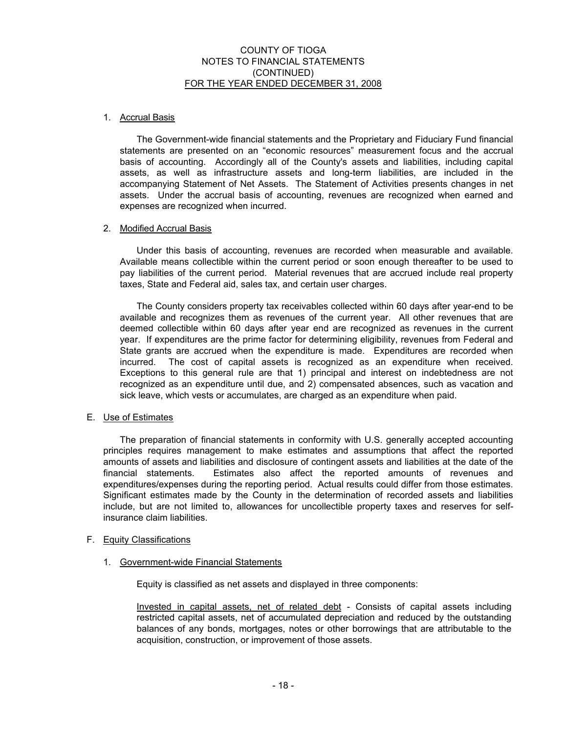## 1. Accrual Basis

The Government-wide financial statements and the Proprietary and Fiduciary Fund financial statements are presented on an "economic resources" measurement focus and the accrual basis of accounting. Accordingly all of the County's assets and liabilities, including capital assets, as well as infrastructure assets and long-term liabilities, are included in the accompanying Statement of Net Assets. The Statement of Activities presents changes in net assets. Under the accrual basis of accounting, revenues are recognized when earned and expenses are recognized when incurred.

# 2. Modified Accrual Basis

Under this basis of accounting, revenues are recorded when measurable and available. Available means collectible within the current period or soon enough thereafter to be used to pay liabilities of the current period. Material revenues that are accrued include real property taxes, State and Federal aid, sales tax, and certain user charges.

The County considers property tax receivables collected within 60 days after year-end to be available and recognizes them as revenues of the current year. All other revenues that are deemed collectible within 60 days after year end are recognized as revenues in the current year. If expenditures are the prime factor for determining eligibility, revenues from Federal and State grants are accrued when the expenditure is made. Expenditures are recorded when incurred. The cost of capital assets is recognized as an expenditure when received. Exceptions to this general rule are that 1) principal and interest on indebtedness are not recognized as an expenditure until due, and 2) compensated absences, such as vacation and sick leave, which vests or accumulates, are charged as an expenditure when paid.

# E. Use of Estimates

The preparation of financial statements in conformity with U.S. generally accepted accounting principles requires management to make estimates and assumptions that affect the reported amounts of assets and liabilities and disclosure of contingent assets and liabilities at the date of the financial statements. Estimates also affect the reported amounts of revenues and expenditures/expenses during the reporting period. Actual results could differ from those estimates. Significant estimates made by the County in the determination of recorded assets and liabilities include, but are not limited to, allowances for uncollectible property taxes and reserves for selfinsurance claim liabilities.

# F. Equity Classifications

## 1. Government-wide Financial Statements

Equity is classified as net assets and displayed in three components:

Invested in capital assets, net of related debt - Consists of capital assets including restricted capital assets, net of accumulated depreciation and reduced by the outstanding balances of any bonds, mortgages, notes or other borrowings that are attributable to the acquisition, construction, or improvement of those assets.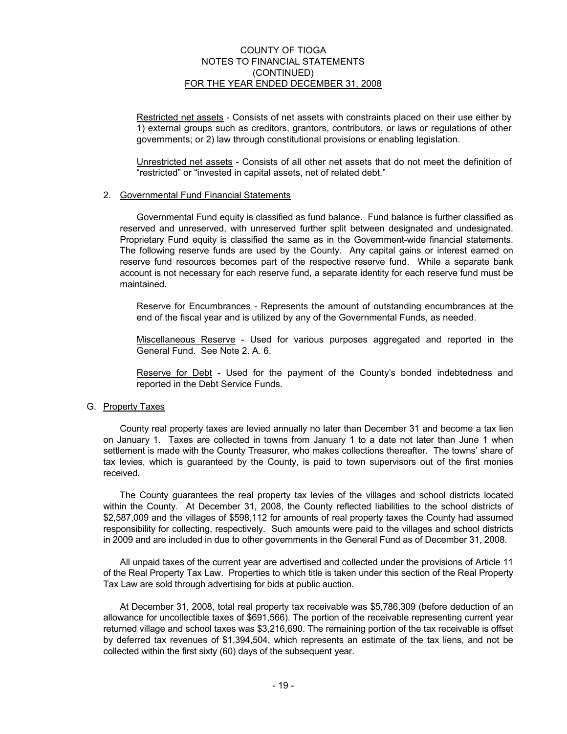Restricted net assets - Consists of net assets with constraints placed on their use either by 1) external groups such as creditors, grantors, contributors, or laws or regulations of other governments; or 2) law through constitutional provisions or enabling legislation.

Unrestricted net assets - Consists of all other net assets that do not meet the definition of "restricted" or "invested in capital assets, net of related debt."

## 2. Governmental Fund Financial Statements

Governmental Fund equity is classified as fund balance. Fund balance is further classified as reserved and unreserved, with unreserved further split between designated and undesignated. Proprietary Fund equity is classified the same as in the Government-wide financial statements. The following reserve funds are used by the County. Any capital gains or interest earned on reserve fund resources becomes part of the respective reserve fund. While a separate bank account is not necessary for each reserve fund, a separate identity for each reserve fund must be maintained.

Reserve for Encumbrances - Represents the amount of outstanding encumbrances at the end of the fiscal year and is utilized by any of the Governmental Funds, as needed.

Miscellaneous Reserve - Used for various purposes aggregated and reported in the General Fund. See Note 2. A. 6.

Reserve for Debt - Used for the payment of the County's bonded indebtedness and reported in the Debt Service Funds.

## G. Property Taxes

County real property taxes are levied annually no later than December 31 and become a tax lien on January 1. Taxes are collected in towns from January 1 to a date not later than June 1 when settlement is made with the County Treasurer, who makes collections thereafter. The towns' share of tax levies, which is guaranteed by the County, is paid to town supervisors out of the first monies received.

The County guarantees the real property tax levies of the villages and school districts located within the County. At December 31, 2008, the County reflected liabilities to the school districts of \$2,587,009 and the villages of \$598,112 for amounts of real property taxes the County had assumed responsibility for collecting, respectively. Such amounts were paid to the villages and school districts in 2009 and are included in due to other governments in the General Fund as of December 31, 2008.

All unpaid taxes of the current year are advertised and collected under the provisions of Article 11 of the Real Property Tax Law. Properties to which title is taken under this section of the Real Property Tax Law are sold through advertising for bids at public auction.

At December 31, 2008, total real property tax receivable was \$5,786,309 (before deduction of an allowance for uncollectible taxes of \$691,566). The portion of the receivable representing current year returned village and school taxes was \$3,216,690. The remaining portion of the tax receivable is offset by deferred tax revenues of \$1,394,504, which represents an estimate of the tax liens, and not be collected within the first sixty (60) days of the subsequent year.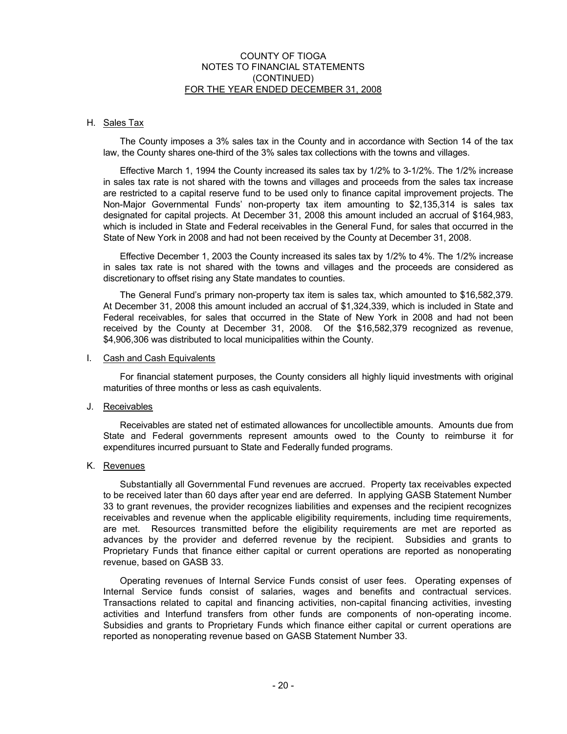#### H. Sales Tax

The County imposes a 3% sales tax in the County and in accordance with Section 14 of the tax law, the County shares one-third of the 3% sales tax collections with the towns and villages.

Effective March 1, 1994 the County increased its sales tax by 1/2% to 3-1/2%. The 1/2% increase in sales tax rate is not shared with the towns and villages and proceeds from the sales tax increase are restricted to a capital reserve fund to be used only to finance capital improvement projects. The Non-Major Governmental Funds' non-property tax item amounting to \$2,135,314 is sales tax designated for capital projects. At December 31, 2008 this amount included an accrual of \$164,983, which is included in State and Federal receivables in the General Fund, for sales that occurred in the State of New York in 2008 and had not been received by the County at December 31, 2008.

Effective December 1, 2003 the County increased its sales tax by 1/2% to 4%. The 1/2% increase in sales tax rate is not shared with the towns and villages and the proceeds are considered as discretionary to offset rising any State mandates to counties.

The General Fund's primary non-property tax item is sales tax, which amounted to \$16,582,379. At December 31, 2008 this amount included an accrual of \$1,324,339, which is included in State and Federal receivables, for sales that occurred in the State of New York in 2008 and had not been received by the County at December 31, 2008. Of the \$16,582,379 recognized as revenue, \$4,906,306 was distributed to local municipalities within the County.

#### I. Cash and Cash Equivalents

For financial statement purposes, the County considers all highly liquid investments with original maturities of three months or less as cash equivalents.

#### J. Receivables

Receivables are stated net of estimated allowances for uncollectible amounts. Amounts due from State and Federal governments represent amounts owed to the County to reimburse it for expenditures incurred pursuant to State and Federally funded programs.

#### K. Revenues

Substantially all Governmental Fund revenues are accrued. Property tax receivables expected to be received later than 60 days after year end are deferred. In applying GASB Statement Number 33 to grant revenues, the provider recognizes liabilities and expenses and the recipient recognizes receivables and revenue when the applicable eligibility requirements, including time requirements, are met. Resources transmitted before the eligibility requirements are met are reported as advances by the provider and deferred revenue by the recipient. Subsidies and grants to Proprietary Funds that finance either capital or current operations are reported as nonoperating revenue, based on GASB 33.

Operating revenues of Internal Service Funds consist of user fees. Operating expenses of Internal Service funds consist of salaries, wages and benefits and contractual services. Transactions related to capital and financing activities, non-capital financing activities, investing activities and Interfund transfers from other funds are components of non-operating income. Subsidies and grants to Proprietary Funds which finance either capital or current operations are reported as nonoperating revenue based on GASB Statement Number 33.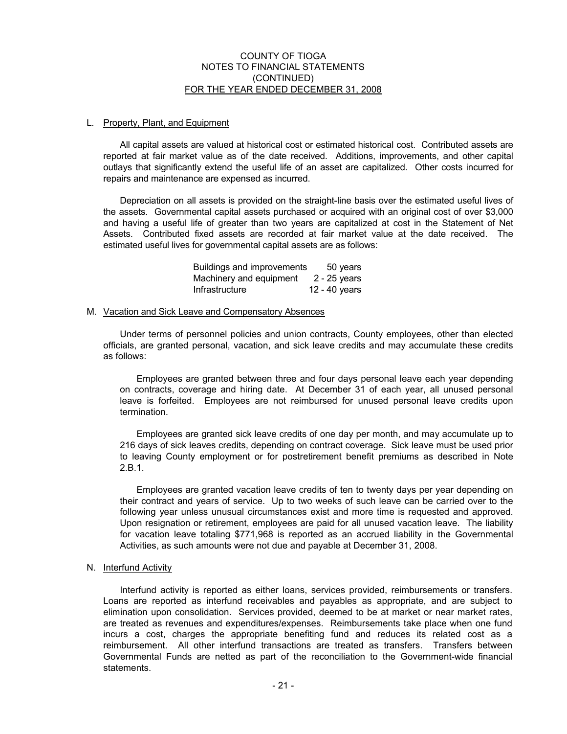#### L. Property, Plant, and Equipment

All capital assets are valued at historical cost or estimated historical cost. Contributed assets are reported at fair market value as of the date received. Additions, improvements, and other capital outlays that significantly extend the useful life of an asset are capitalized. Other costs incurred for repairs and maintenance are expensed as incurred.

Depreciation on all assets is provided on the straight-line basis over the estimated useful lives of the assets. Governmental capital assets purchased or acquired with an original cost of over \$3,000 and having a useful life of greater than two years are capitalized at cost in the Statement of Net Assets. Contributed fixed assets are recorded at fair market value at the date received. The estimated useful lives for governmental capital assets are as follows:

| <b>Buildings and improvements</b> | 50 years       |
|-----------------------------------|----------------|
| Machinery and equipment           | $2 - 25$ years |
| Infrastructure                    | 12 - 40 years  |

#### M. Vacation and Sick Leave and Compensatory Absences

Under terms of personnel policies and union contracts, County employees, other than elected officials, are granted personal, vacation, and sick leave credits and may accumulate these credits as follows:

Employees are granted between three and four days personal leave each year depending on contracts, coverage and hiring date. At December 31 of each year, all unused personal leave is forfeited. Employees are not reimbursed for unused personal leave credits upon termination.

Employees are granted sick leave credits of one day per month, and may accumulate up to 216 days of sick leaves credits, depending on contract coverage. Sick leave must be used prior to leaving County employment or for postretirement benefit premiums as described in Note 2.B.1.

Employees are granted vacation leave credits of ten to twenty days per year depending on their contract and years of service. Up to two weeks of such leave can be carried over to the following year unless unusual circumstances exist and more time is requested and approved. Upon resignation or retirement, employees are paid for all unused vacation leave. The liability for vacation leave totaling \$771,968 is reported as an accrued liability in the Governmental Activities, as such amounts were not due and payable at December 31, 2008.

## N. Interfund Activity

Interfund activity is reported as either loans, services provided, reimbursements or transfers. Loans are reported as interfund receivables and payables as appropriate, and are subject to elimination upon consolidation. Services provided, deemed to be at market or near market rates, are treated as revenues and expenditures/expenses. Reimbursements take place when one fund incurs a cost, charges the appropriate benefiting fund and reduces its related cost as a reimbursement. All other interfund transactions are treated as transfers. Transfers between Governmental Funds are netted as part of the reconciliation to the Government-wide financial statements.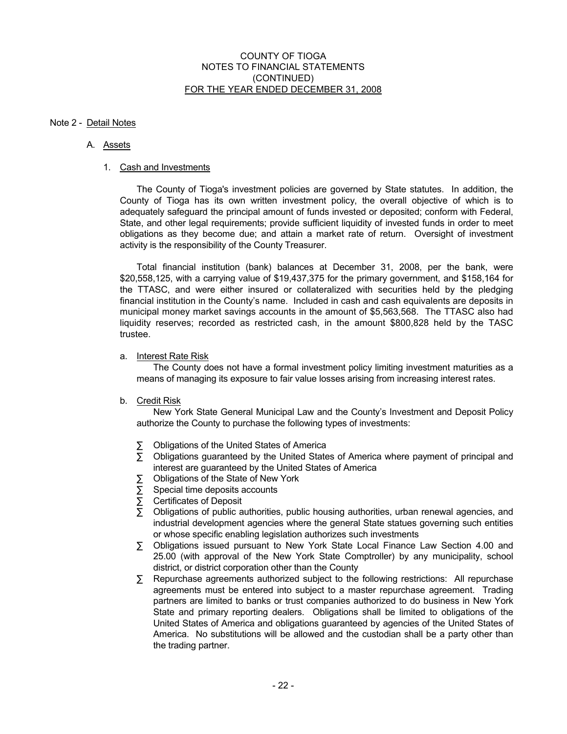## Note 2 - Detail Notes

# A. Assets

# 1. Cash and Investments

The County of Tioga's investment policies are governed by State statutes. In addition, the County of Tioga has its own written investment policy, the overall objective of which is to adequately safeguard the principal amount of funds invested or deposited; conform with Federal, State, and other legal requirements; provide sufficient liquidity of invested funds in order to meet obligations as they become due; and attain a market rate of return. Oversight of investment activity is the responsibility of the County Treasurer.

Total financial institution (bank) balances at December 31, 2008, per the bank, were \$20,558,125, with a carrying value of \$19,437,375 for the primary government, and \$158,164 for the TTASC, and were either insured or collateralized with securities held by the pledging financial institution in the County's name. Included in cash and cash equivalents are deposits in municipal money market savings accounts in the amount of \$5,563,568. The TTASC also had liquidity reserves; recorded as restricted cash, in the amount \$800,828 held by the TASC trustee.

# a. Interest Rate Risk

The County does not have a formal investment policy limiting investment maturities as a means of managing its exposure to fair value losses arising from increasing interest rates.

# b. Credit Risk

New York State General Municipal Law and the County's Investment and Deposit Policy authorize the County to purchase the following types of investments:

- Obligations of the United States of America
- Obligations guaranteed by the United States of America where payment of principal and interest are guaranteed by the United States of America
- Obligations of the State of New York
- Special time deposits accounts
- Certificates of Deposit
- Obligations of public authorities, public housing authorities, urban renewal agencies, and industrial development agencies where the general State statues governing such entities or whose specific enabling legislation authorizes such investments
- Obligations issued pursuant to New York State Local Finance Law Section 4.00 and 25.00 (with approval of the New York State Comptroller) by any municipality, school district, or district corporation other than the County
- Repurchase agreements authorized subject to the following restrictions: All repurchase agreements must be entered into subject to a master repurchase agreement. Trading partners are limited to banks or trust companies authorized to do business in New York State and primary reporting dealers. Obligations shall be limited to obligations of the United States of America and obligations guaranteed by agencies of the United States of America. No substitutions will be allowed and the custodian shall be a party other than the trading partner.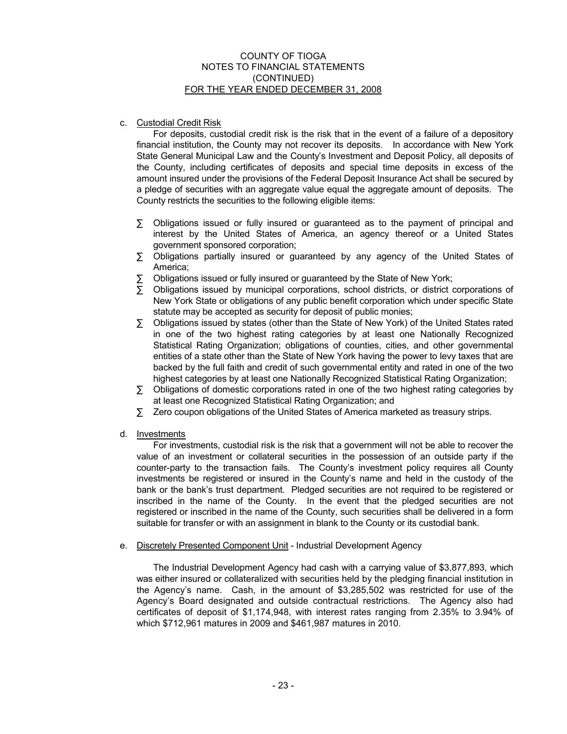# c. Custodial Credit Risk

For deposits, custodial credit risk is the risk that in the event of a failure of a depository financial institution, the County may not recover its deposits. In accordance with New York State General Municipal Law and the County's Investment and Deposit Policy, all deposits of the County, including certificates of deposits and special time deposits in excess of the amount insured under the provisions of the Federal Deposit Insurance Act shall be secured by a pledge of securities with an aggregate value equal the aggregate amount of deposits. The County restricts the securities to the following eligible items:

- Obligations issued or fully insured or guaranteed as to the payment of principal and interest by the United States of America, an agency thereof or a United States government sponsored corporation;
- Obligations partially insured or guaranteed by any agency of the United States of  $\mathbf{r}$ America;
- Obligations issued or fully insured or guaranteed by the State of New York;
- Obligations issued by municipal corporations, school districts, or district corporations of New York State or obligations of any public benefit corporation which under specific State statute may be accepted as security for deposit of public monies;
- Obligations issued by states (other than the State of New York) of the United States rated in one of the two highest rating categories by at least one Nationally Recognized Statistical Rating Organization; obligations of counties, cities, and other governmental entities of a state other than the State of New York having the power to levy taxes that are backed by the full faith and credit of such governmental entity and rated in one of the two highest categories by at least one Nationally Recognized Statistical Rating Organization;
- Obligations of domestic corporations rated in one of the two highest rating categories by at least one Recognized Statistical Rating Organization; and
- Zero coupon obligations of the United States of America marketed as treasury strips. L.
- d. Investments

For investments, custodial risk is the risk that a government will not be able to recover the value of an investment or collateral securities in the possession of an outside party if the counter-party to the transaction fails. The County's investment policy requires all County investments be registered or insured in the County's name and held in the custody of the bank or the bank's trust department. Pledged securities are not required to be registered or inscribed in the name of the County. In the event that the pledged securities are not registered or inscribed in the name of the County, such securities shall be delivered in a form suitable for transfer or with an assignment in blank to the County or its custodial bank.

# e. Discretely Presented Component Unit - Industrial Development Agency

The Industrial Development Agency had cash with a carrying value of \$3,877,893, which was either insured or collateralized with securities held by the pledging financial institution in the Agency's name. Cash, in the amount of \$3,285,502 was restricted for use of the Agency's Board designated and outside contractual restrictions. The Agency also had certificates of deposit of \$1,174,948, with interest rates ranging from 2.35% to 3.94% of which \$712,961 matures in 2009 and \$461,987 matures in 2010.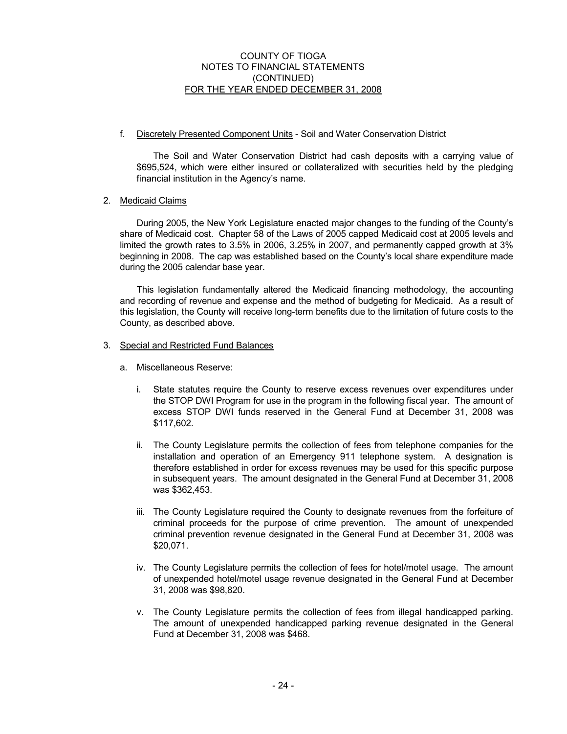# f. Discretely Presented Component Units - Soil and Water Conservation District

The Soil and Water Conservation District had cash deposits with a carrying value of \$695,524, which were either insured or collateralized with securities held by the pledging financial institution in the Agency's name.

# 2. Medicaid Claims

During 2005, the New York Legislature enacted major changes to the funding of the County's share of Medicaid cost. Chapter 58 of the Laws of 2005 capped Medicaid cost at 2005 levels and limited the growth rates to 3.5% in 2006, 3.25% in 2007, and permanently capped growth at 3% beginning in 2008. The cap was established based on the County's local share expenditure made during the 2005 calendar base year.

This legislation fundamentally altered the Medicaid financing methodology, the accounting and recording of revenue and expense and the method of budgeting for Medicaid. As a result of this legislation, the County will receive long-term benefits due to the limitation of future costs to the County, as described above.

# 3. Special and Restricted Fund Balances

- a. Miscellaneous Reserve:
	- i. State statutes require the County to reserve excess revenues over expenditures under the STOP DWI Program for use in the program in the following fiscal year. The amount of excess STOP DWI funds reserved in the General Fund at December 31, 2008 was \$117,602.
	- ii. The County Legislature permits the collection of fees from telephone companies for the installation and operation of an Emergency 911 telephone system. A designation is therefore established in order for excess revenues may be used for this specific purpose in subsequent years. The amount designated in the General Fund at December 31, 2008 was \$362,453.
	- iii. The County Legislature required the County to designate revenues from the forfeiture of criminal proceeds for the purpose of crime prevention. The amount of unexpended criminal prevention revenue designated in the General Fund at December 31, 2008 was \$20,071.
	- iv. The County Legislature permits the collection of fees for hotel/motel usage. The amount of unexpended hotel/motel usage revenue designated in the General Fund at December 31, 2008 was \$98,820.
	- v. The County Legislature permits the collection of fees from illegal handicapped parking. The amount of unexpended handicapped parking revenue designated in the General Fund at December 31, 2008 was \$468.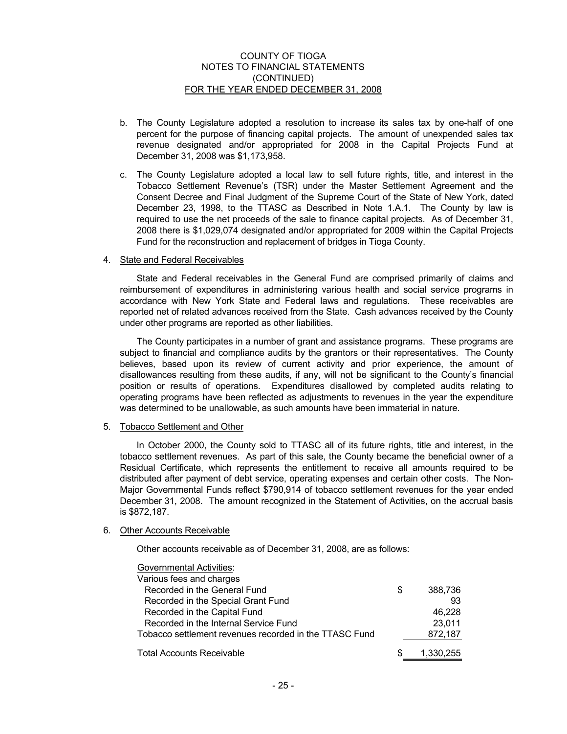- b. The County Legislature adopted a resolution to increase its sales tax by one-half of one percent for the purpose of financing capital projects. The amount of unexpended sales tax revenue designated and/or appropriated for 2008 in the Capital Projects Fund at December 31, 2008 was \$1,173,958.
- c. The County Legislature adopted a local law to sell future rights, title, and interest in the Tobacco Settlement Revenue's (TSR) under the Master Settlement Agreement and the Consent Decree and Final Judgment of the Supreme Court of the State of New York, dated December 23, 1998, to the TTASC as Described in Note 1.A.1. The County by law is required to use the net proceeds of the sale to finance capital projects. As of December 31, 2008 there is \$1,029,074 designated and/or appropriated for 2009 within the Capital Projects Fund for the reconstruction and replacement of bridges in Tioga County.

## 4. State and Federal Receivables

State and Federal receivables in the General Fund are comprised primarily of claims and reimbursement of expenditures in administering various health and social service programs in accordance with New York State and Federal laws and regulations. These receivables are reported net of related advances received from the State. Cash advances received by the County under other programs are reported as other liabilities.

The County participates in a number of grant and assistance programs. These programs are subject to financial and compliance audits by the grantors or their representatives. The County believes, based upon its review of current activity and prior experience, the amount of disallowances resulting from these audits, if any, will not be significant to the County's financial position or results of operations. Expenditures disallowed by completed audits relating to operating programs have been reflected as adjustments to revenues in the year the expenditure was determined to be unallowable, as such amounts have been immaterial in nature.

## 5. Tobacco Settlement and Other

In October 2000, the County sold to TTASC all of its future rights, title and interest, in the tobacco settlement revenues. As part of this sale, the County became the beneficial owner of a Residual Certificate, which represents the entitlement to receive all amounts required to be distributed after payment of debt service, operating expenses and certain other costs. The Non-Major Governmental Funds reflect \$790,914 of tobacco settlement revenues for the year ended December 31, 2008. The amount recognized in the Statement of Activities, on the accrual basis is \$872,187.

## 6. Other Accounts Receivable

Other accounts receivable as of December 31, 2008, are as follows:

| <b>Governmental Activities:</b>                        |   |           |
|--------------------------------------------------------|---|-----------|
| Various fees and charges                               |   |           |
| Recorded in the General Fund                           | S | 388,736   |
| Recorded in the Special Grant Fund                     |   | 93        |
| Recorded in the Capital Fund                           |   | 46.228    |
| Recorded in the Internal Service Fund                  |   | 23,011    |
| Tobacco settlement revenues recorded in the TTASC Fund |   | 872,187   |
| <b>Total Accounts Receivable</b>                       | S | 1,330,255 |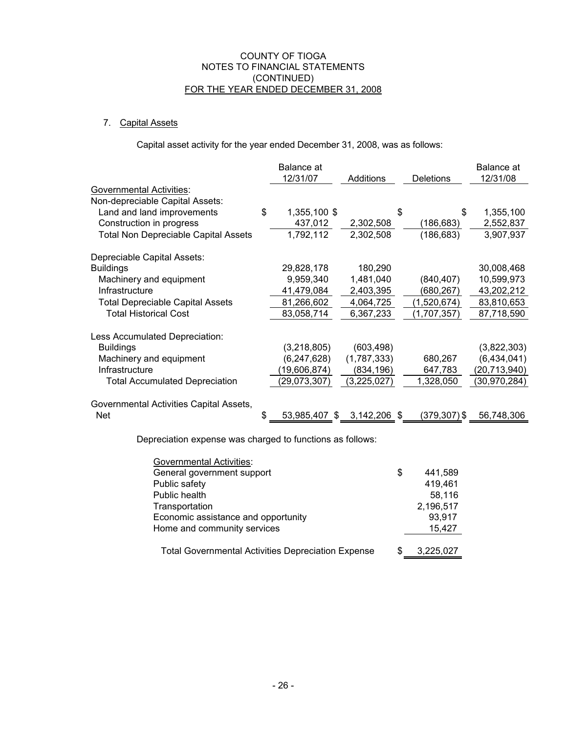# 7. Capital Assets

Capital asset activity for the year ended December 31, 2008, was as follows:

|                                             |    | Balance at<br>12/31/07 | Additions    | <b>Deletions</b> | Balance at<br>12/31/08 |
|---------------------------------------------|----|------------------------|--------------|------------------|------------------------|
| <b>Governmental Activities:</b>             |    |                        |              |                  |                        |
|                                             |    |                        |              |                  |                        |
| Non-depreciable Capital Assets:             |    |                        |              |                  |                        |
| Land and land improvements                  | \$ | 1,355,100 \$           |              | \$<br>\$         | 1,355,100              |
| Construction in progress                    |    | 437,012                | 2,302,508    | (186,683)        | 2,552,837              |
| <b>Total Non Depreciable Capital Assets</b> |    | 1,792,112              | 2,302,508    | (186, 683)       | 3,907,937              |
| Depreciable Capital Assets:                 |    |                        |              |                  |                        |
| <b>Buildings</b>                            |    | 29,828,178             | 180,290      |                  | 30,008,468             |
| Machinery and equipment                     |    | 9,959,340              | 1,481,040    | (840, 407)       | 10,599,973             |
| Infrastructure                              |    | 41,479,084             | 2,403,395    | (680,267)        | 43,202,212             |
| <b>Total Depreciable Capital Assets</b>     |    | 81,266,602             | 4,064,725    | (1,520,674)      | 83,810,653             |
| <b>Total Historical Cost</b>                |    | 83,058,714             | 6,367,233    | (1,707,357)      | 87,718,590             |
| Less Accumulated Depreciation:              |    |                        |              |                  |                        |
| <b>Buildings</b>                            |    | (3,218,805)            | (603, 498)   |                  | (3,822,303)            |
| Machinery and equipment                     |    | (6,247,628)            | (1,787,333)  | 680,267          | (6,434,041)            |
| Infrastructure                              |    | 19,606,874)            | (834, 196)   | 647,783          | (20, 713, 940)         |
| <b>Total Accumulated Depreciation</b>       |    | (29,073,307)           | (3,225,027)  | 1,328,050        | (30, 970, 284)         |
| Governmental Activities Capital Assets,     |    |                        |              |                  |                        |
| Net                                         | S  | 53,985,407 \$          | 3,142,206 \$ | $(379, 307)$ \$  | 56,748,306             |
|                                             |    |                        |              |                  |                        |

Depreciation expense was charged to functions as follows:

| <b>Governmental Activities:</b>                           |    |           |
|-----------------------------------------------------------|----|-----------|
| General government support                                | \$ | 441,589   |
| Public safety                                             |    | 419,461   |
| Public health                                             |    | 58,116    |
| Transportation                                            |    | 2,196,517 |
| Economic assistance and opportunity                       |    | 93,917    |
| Home and community services                               |    | 15,427    |
|                                                           |    |           |
| <b>Total Governmental Activities Depreciation Expense</b> | S  | 3,225,027 |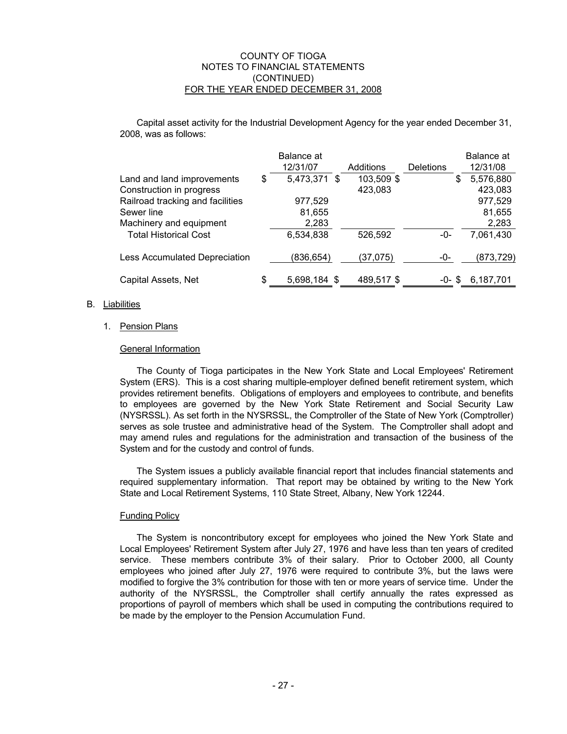Capital asset activity for the Industrial Development Agency for the year ended December 31, 2008, was as follows:

|                                  |    | <b>Balance</b> at |            |                  | <b>Balance</b> at |
|----------------------------------|----|-------------------|------------|------------------|-------------------|
|                                  |    | 12/31/07          | Additions  | <b>Deletions</b> | 12/31/08          |
| Land and land improvements       | \$ | 5,473,371 \$      | 103,509 \$ |                  | \$<br>5,576,880   |
| Construction in progress         |    |                   | 423,083    |                  | 423,083           |
| Railroad tracking and facilities |    | 977,529           |            |                  | 977,529           |
| Sewer line                       |    | 81,655            |            |                  | 81,655            |
| Machinery and equipment          |    | 2,283             |            |                  | 2,283             |
| <b>Total Historical Cost</b>     |    | 6,534,838         | 526,592    | -0-              | 7,061,430         |
| Less Accumulated Depreciation    |    | (836,654)         | (37,075)   | -0-              | (873,729)         |
| Capital Assets, Net              | S  | 5,698,184 \$      | 489,517 \$ | $-0-$ \$         | 6,187,701         |

## B. Liabilities

#### 1. Pension Plans

#### General Information

The County of Tioga participates in the New York State and Local Employees' Retirement System (ERS). This is a cost sharing multiple-employer defined benefit retirement system, which provides retirement benefits. Obligations of employers and employees to contribute, and benefits to employees are governed by the New York State Retirement and Social Security Law (NYSRSSL). As set forth in the NYSRSSL, the Comptroller of the State of New York (Comptroller) serves as sole trustee and administrative head of the System. The Comptroller shall adopt and may amend rules and regulations for the administration and transaction of the business of the System and for the custody and control of funds.

The System issues a publicly available financial report that includes financial statements and required supplementary information. That report may be obtained by writing to the New York State and Local Retirement Systems, 110 State Street, Albany, New York 12244.

## Funding Policy

The System is noncontributory except for employees who joined the New York State and Local Employees' Retirement System after July 27, 1976 and have less than ten years of credited service. These members contribute 3% of their salary. Prior to October 2000, all County employees who joined after July 27, 1976 were required to contribute 3%, but the laws were modified to forgive the 3% contribution for those with ten or more years of service time. Under the authority of the NYSRSSL, the Comptroller shall certify annually the rates expressed as proportions of payroll of members which shall be used in computing the contributions required to be made by the employer to the Pension Accumulation Fund.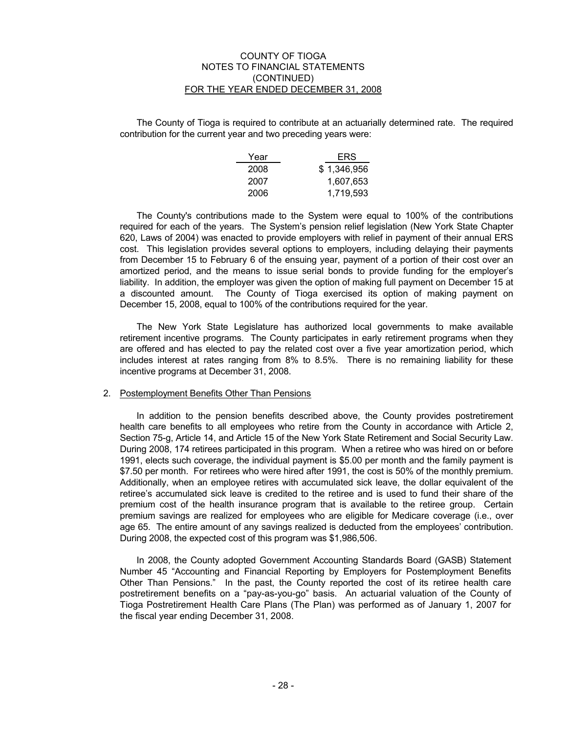The County of Tioga is required to contribute at an actuarially determined rate. The required contribution for the current year and two preceding years were:

| Year | <b>ERS</b>  |
|------|-------------|
| 2008 | \$1,346,956 |
| 2007 | 1,607,653   |
| 2006 | 1.719.593   |

The County's contributions made to the System were equal to 100% of the contributions required for each of the years. The System's pension relief legislation (New York State Chapter 620, Laws of 2004) was enacted to provide employers with relief in payment of their annual ERS cost. This legislation provides several options to employers, including delaying their payments from December 15 to February 6 of the ensuing year, payment of a portion of their cost over an amortized period, and the means to issue serial bonds to provide funding for the employer's liability. In addition, the employer was given the option of making full payment on December 15 at a discounted amount. The County of Tioga exercised its option of making payment on December 15, 2008, equal to 100% of the contributions required for the year.

The New York State Legislature has authorized local governments to make available retirement incentive programs. The County participates in early retirement programs when they are offered and has elected to pay the related cost over a five year amortization period, which includes interest at rates ranging from 8% to 8.5%. There is no remaining liability for these incentive programs at December 31, 2008.

## 2. Postemployment Benefits Other Than Pensions

In addition to the pension benefits described above, the County provides postretirement health care benefits to all employees who retire from the County in accordance with Article 2, Section 75-g, Article 14, and Article 15 of the New York State Retirement and Social Security Law. During 2008, 174 retirees participated in this program. When a retiree who was hired on or before 1991, elects such coverage, the individual payment is \$5.00 per month and the family payment is \$7.50 per month. For retirees who were hired after 1991, the cost is 50% of the monthly premium. Additionally, when an employee retires with accumulated sick leave, the dollar equivalent of the retiree's accumulated sick leave is credited to the retiree and is used to fund their share of the premium cost of the health insurance program that is available to the retiree group. Certain premium savings are realized for employees who are eligible for Medicare coverage (i.e., over age 65. The entire amount of any savings realized is deducted from the employees' contribution. During 2008, the expected cost of this program was \$1,986,506.

In 2008, the County adopted Government Accounting Standards Board (GASB) Statement Number 45 "Accounting and Financial Reporting by Employers for Postemployment Benefits Other Than Pensions." In the past, the County reported the cost of its retiree health care postretirement benefits on a "pay-as-you-go" basis. An actuarial valuation of the County of Tioga Postretirement Health Care Plans (The Plan) was performed as of January 1, 2007 for the fiscal year ending December 31, 2008.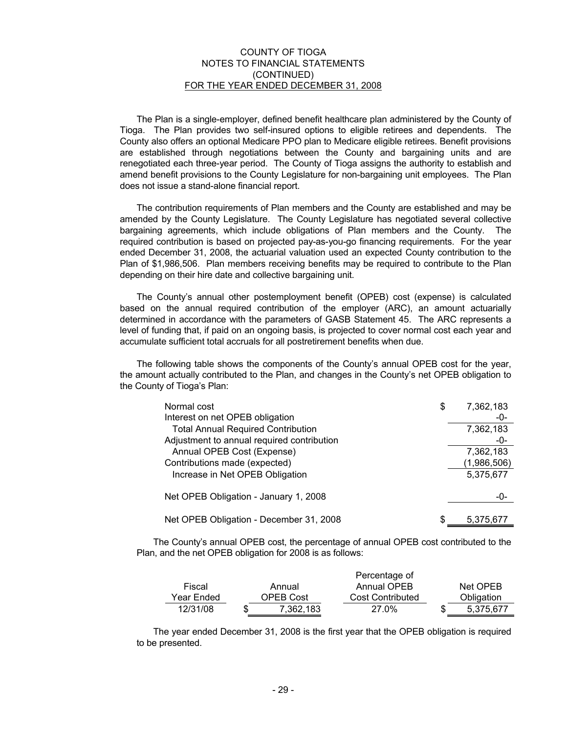The Plan is a single-employer, defined benefit healthcare plan administered by the County of Tioga. The Plan provides two self-insured options to eligible retirees and dependents. The County also offers an optional Medicare PPO plan to Medicare eligible retirees. Benefit provisions are established through negotiations between the County and bargaining units and are renegotiated each three-year period. The County of Tioga assigns the authority to establish and amend benefit provisions to the County Legislature for non-bargaining unit employees. The Plan does not issue a stand-alone financial report.

The contribution requirements of Plan members and the County are established and may be amended by the County Legislature. The County Legislature has negotiated several collective bargaining agreements, which include obligations of Plan members and the County. The required contribution is based on projected pay-as-you-go financing requirements. For the year ended December 31, 2008, the actuarial valuation used an expected County contribution to the Plan of \$1,986,506. Plan members receiving benefits may be required to contribute to the Plan depending on their hire date and collective bargaining unit.

The County's annual other postemployment benefit (OPEB) cost (expense) is calculated based on the annual required contribution of the employer (ARC), an amount actuarially determined in accordance with the parameters of GASB Statement 45. The ARC represents a level of funding that, if paid on an ongoing basis, is projected to cover normal cost each year and accumulate sufficient total accruals for all postretirement benefits when due.

The following table shows the components of the County's annual OPEB cost for the year, the amount actually contributed to the Plan, and changes in the County's net OPEB obligation to the County of Tioga's Plan:

| Normal cost<br>Interest on net OPEB obligation<br><b>Total Annual Required Contribution</b><br>Adjustment to annual required contribution<br>Annual OPEB Cost (Expense) | \$ | 7,362,183<br>-0-<br>7,362,183<br>-0-<br>7,362,183 |
|-------------------------------------------------------------------------------------------------------------------------------------------------------------------------|----|---------------------------------------------------|
| Contributions made (expected)<br>Increase in Net OPEB Obligation                                                                                                        |    | (1,986,506)<br>5,375,677                          |
| Net OPEB Obligation - January 1, 2008                                                                                                                                   |    |                                                   |
| Net OPEB Obligation - December 31, 2008                                                                                                                                 | S  | 5,375,677                                         |

The County's annual OPEB cost, the percentage of annual OPEB cost contributed to the Plan, and the net OPEB obligation for 2008 is as follows:

|            |                  | Percentage of    |            |
|------------|------------------|------------------|------------|
| Fiscal     | Annual           | Annual OPEB      | Net OPEB   |
| Year Ended | <b>OPEB Cost</b> | Cost Contributed | Obligation |
| 12/31/08   | 7.362.183        | 27.0%            | 5.375.677  |

The year ended December 31, 2008 is the first year that the OPEB obligation is required to be presented.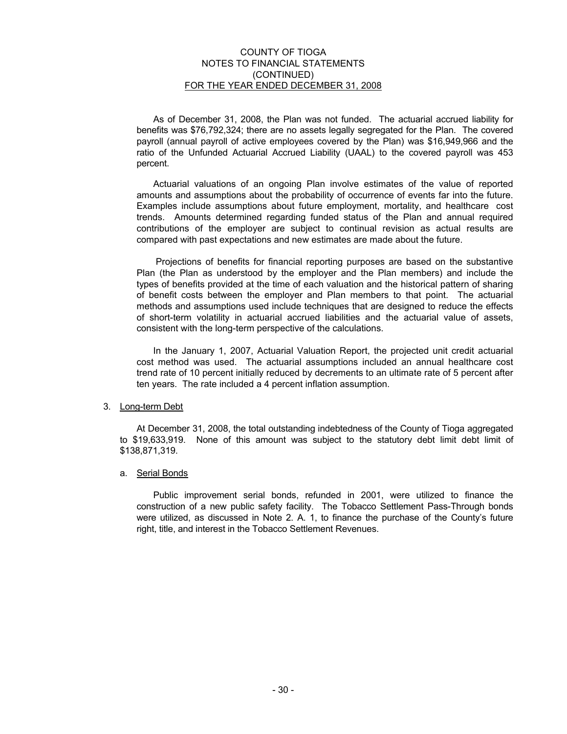As of December 31, 2008, the Plan was not funded. The actuarial accrued liability for benefits was \$76,792,324; there are no assets legally segregated for the Plan. The covered payroll (annual payroll of active employees covered by the Plan) was \$16,949,966 and the ratio of the Unfunded Actuarial Accrued Liability (UAAL) to the covered payroll was 453 percent.

Actuarial valuations of an ongoing Plan involve estimates of the value of reported amounts and assumptions about the probability of occurrence of events far into the future. Examples include assumptions about future employment, mortality, and healthcare cost trends. Amounts determined regarding funded status of the Plan and annual required contributions of the employer are subject to continual revision as actual results are compared with past expectations and new estimates are made about the future.

Projections of benefits for financial reporting purposes are based on the substantive Plan (the Plan as understood by the employer and the Plan members) and include the types of benefits provided at the time of each valuation and the historical pattern of sharing of benefit costs between the employer and Plan members to that point. The actuarial methods and assumptions used include techniques that are designed to reduce the effects of short-term volatility in actuarial accrued liabilities and the actuarial value of assets, consistent with the long-term perspective of the calculations.

In the January 1, 2007, Actuarial Valuation Report, the projected unit credit actuarial cost method was used. The actuarial assumptions included an annual healthcare cost trend rate of 10 percent initially reduced by decrements to an ultimate rate of 5 percent after ten years. The rate included a 4 percent inflation assumption.

## 3. Long-term Debt

At December 31, 2008, the total outstanding indebtedness of the County of Tioga aggregated to \$19,633,919. None of this amount was subject to the statutory debt limit debt limit of \$138,871,319.

a. Serial Bonds

Public improvement serial bonds, refunded in 2001, were utilized to finance the construction of a new public safety facility. The Tobacco Settlement Pass-Through bonds were utilized, as discussed in Note 2. A. 1, to finance the purchase of the County's future right, title, and interest in the Tobacco Settlement Revenues.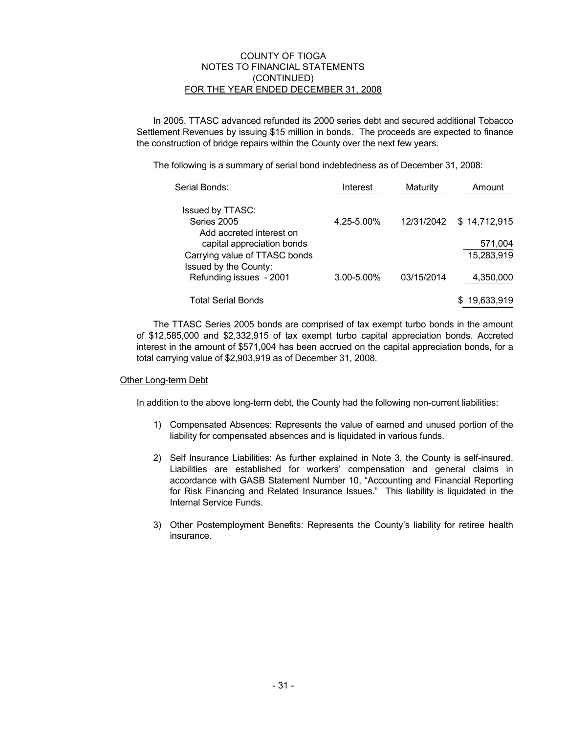In 2005, TTASC advanced refunded its 2000 series debt and secured additional Tobacco Settlement Revenues by issuing \$15 million in bonds. The proceeds are expected to finance the construction of bridge repairs within the County over the next few years.

The following is a summary of serial bond indebtedness as of December 31, 2008:

| Serial Bonds:                                                                           | Interest   | Maturity   | Amount                |
|-----------------------------------------------------------------------------------------|------------|------------|-----------------------|
| Issued by TTASC:<br>Series 2005                                                         | 4.25-5.00% | 12/31/2042 | \$14,712,915          |
| Add accreted interest on<br>capital appreciation bonds<br>Carrying value of TTASC bonds |            |            | 571,004<br>15,283,919 |
| Issued by the County:<br>Refunding issues - 2001                                        | 3.00-5.00% | 03/15/2014 | 4,350,000             |
| <b>Total Serial Bonds</b>                                                               |            |            | 19,633,919            |

The TTASC Series 2005 bonds are comprised of tax exempt turbo bonds in the amount of \$12,585,000 and \$2,332,915 of tax exempt turbo capital appreciation bonds. Accreted interest in the amount of \$571,004 has been accrued on the capital appreciation bonds, for a total carrying value of \$2,903,919 as of December 31, 2008.

# Other Long-term Debt

In addition to the above long-term debt, the County had the following non-current liabilities:

- 1) Compensated Absences: Represents the value of earned and unused portion of the liability for compensated absences and is liquidated in various funds.
- 2) Self Insurance Liabilities: As further explained in Note 3, the County is self-insured. Liabilities are established for workers' compensation and general claims in accordance with GASB Statement Number 10, "Accounting and Financial Reporting for Risk Financing and Related Insurance Issues." This liability is liquidated in the Internal Service Funds.
- 3) Other Postemployment Benefits: Represents the County's liability for retiree health insurance.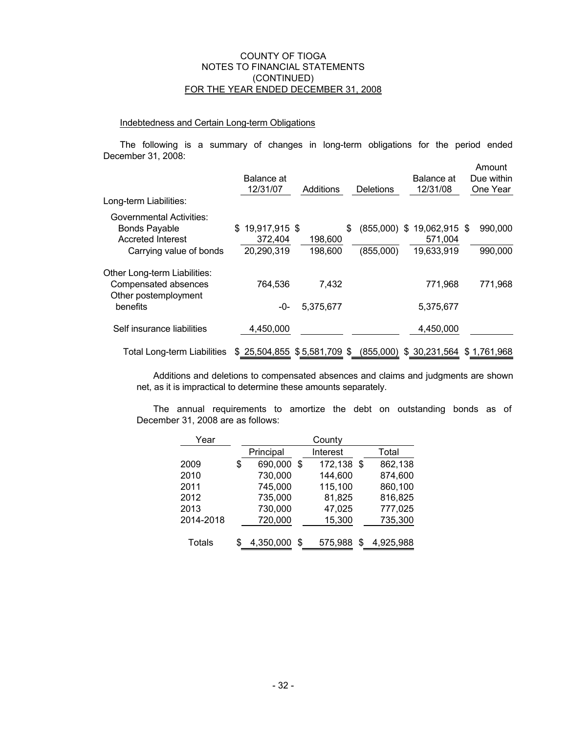#### Indebtedness and Certain Long-term Obligations

The following is a summary of changes in long-term obligations for the period ended December 31, 2008: Amount

|                                                                                     | Balance at<br>12/31/07          | Additions     | <b>Deletions</b> | Balance at<br>12/31/08                                         | Amount<br>Due within<br>One Year |
|-------------------------------------------------------------------------------------|---------------------------------|---------------|------------------|----------------------------------------------------------------|----------------------------------|
| Long-term Liabilities:                                                              |                                 |               |                  |                                                                |                                  |
| <b>Governmental Activities:</b><br><b>Bonds Payable</b><br><b>Accreted Interest</b> | 19,917,915 \$<br>\$.<br>372,404 | \$<br>198,600 | $(855,000)$ \$   | 19,062,915 \$<br>571,004                                       | 990,000                          |
| Carrying value of bonds                                                             | 20,290,319                      | 198,600       | (855,000)        | 19,633,919                                                     | 990,000                          |
| Other Long-term Liabilities:<br>Compensated absences<br>Other postemployment        | 764.536                         | 7.432         |                  | 771,968                                                        | 771,968                          |
| benefits                                                                            | -0-                             | 5,375,677     |                  | 5,375,677                                                      |                                  |
| Self insurance liabilities                                                          | 4,450,000                       |               |                  | 4,450,000                                                      |                                  |
| Total Long-term Liabilities                                                         |                                 |               |                  | \$25,504,855 \$5,581,709 \$ (855,000) \$30,231,564 \$1,761,968 |                                  |

Additions and deletions to compensated absences and claims and judgments are shown net, as it is impractical to determine these amounts separately.

The annual requirements to amortize the debt on outstanding bonds as of December 31, 2008 are as follows:

| Year      | County           |   |          |    |           |  |  |  |
|-----------|------------------|---|----------|----|-----------|--|--|--|
|           | Principal        |   | Interest |    | Total     |  |  |  |
| 2009      | \$<br>690,000 \$ |   | 172,138  | \$ | 862,138   |  |  |  |
| 2010      | 730,000          |   | 144,600  |    | 874,600   |  |  |  |
| 2011      | 745,000          |   | 115,100  |    | 860,100   |  |  |  |
| 2012      | 735,000          |   | 81,825   |    | 816,825   |  |  |  |
| 2013      | 730,000          |   | 47,025   |    | 777,025   |  |  |  |
| 2014-2018 | 720,000          |   | 15,300   |    | 735,300   |  |  |  |
|           |                  |   |          |    |           |  |  |  |
| Totals    | 4,350,000        | S | 575,988  | S. | 4,925,988 |  |  |  |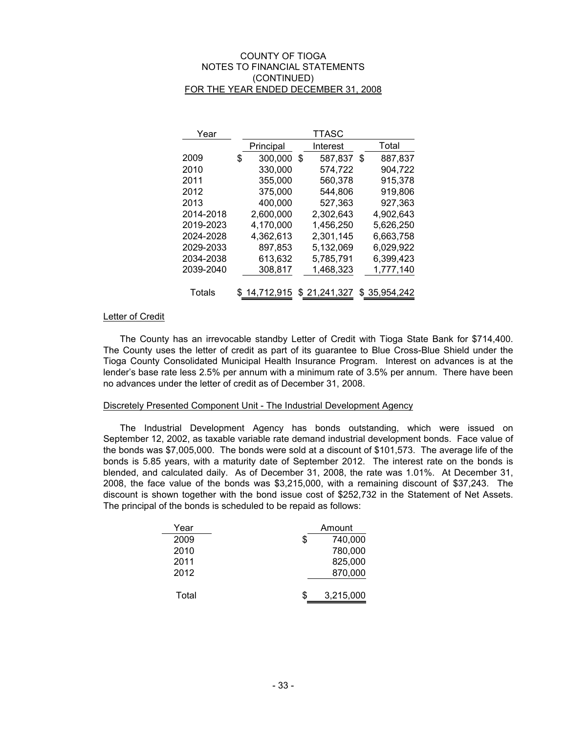| Year      |               |   | <b>TTASC</b> |   |              |
|-----------|---------------|---|--------------|---|--------------|
|           | Principal     |   | Interest     |   | Total        |
| 2009      | \$<br>300,000 | S | 587,837      | S | 887.837      |
| 2010      | 330,000       |   | 574.722      |   | 904.722      |
| 2011      | 355,000       |   | 560.378      |   | 915,378      |
| 2012      | 375,000       |   | 544.806      |   | 919.806      |
| 2013      | 400.000       |   | 527.363      |   | 927.363      |
| 2014-2018 | 2,600,000     |   | 2,302,643    |   | 4,902,643    |
| 2019-2023 | 4,170,000     |   | 1.456.250    |   | 5,626,250    |
| 2024-2028 | 4,362,613     |   | 2.301.145    |   | 6.663.758    |
| 2029-2033 | 897.853       |   | 5,132,069    |   | 6,029,922    |
| 2034-2038 | 613.632       |   | 5.785.791    |   | 6.399.423    |
| 2039-2040 | 308.817       |   | 1.468.323    |   | 1.777.140    |
|           |               |   |              |   |              |
| Totals    | \$14,712,915  |   | \$21,241,327 |   | \$35,954,242 |

## Letter of Credit

The County has an irrevocable standby Letter of Credit with Tioga State Bank for \$714,400. The County uses the letter of credit as part of its guarantee to Blue Cross-Blue Shield under the Tioga County Consolidated Municipal Health Insurance Program. Interest on advances is at the lender's base rate less 2.5% per annum with a minimum rate of 3.5% per annum. There have been no advances under the letter of credit as of December 31, 2008.

## Discretely Presented Component Unit - The Industrial Development Agency

The Industrial Development Agency has bonds outstanding, which were issued on September 12, 2002, as taxable variable rate demand industrial development bonds. Face value of the bonds was \$7,005,000. The bonds were sold at a discount of \$101,573. The average life of the bonds is 5.85 years, with a maturity date of September 2012. The interest rate on the bonds is blended, and calculated daily. As of December 31, 2008, the rate was 1.01%. At December 31, 2008, the face value of the bonds was \$3,215,000, with a remaining discount of \$37,243. The discount is shown together with the bond issue cost of \$252,732 in the Statement of Net Assets. The principal of the bonds is scheduled to be repaid as follows:

| Year  | Amount         |
|-------|----------------|
| 2009  | 740,000<br>\$  |
| 2010  | 780,000        |
| 2011  | 825,000        |
| 2012  | 870,000        |
| Total | 3,215,000<br>S |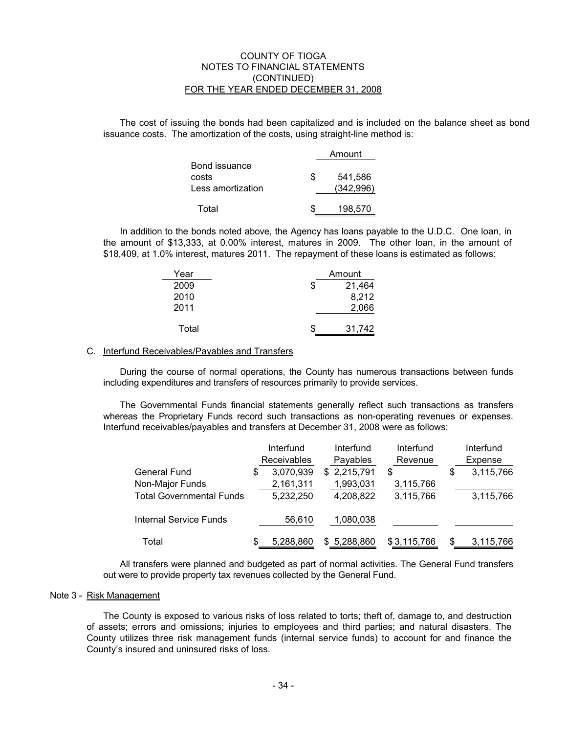The cost of issuing the bonds had been capitalized and is included on the balance sheet as bond issuance costs. The amortization of the costs, using straight-line method is:

|                   |     | Amount    |
|-------------------|-----|-----------|
| Bond issuance     |     |           |
| costs             | \$. | 541,586   |
| Less amortization |     | (342.996) |
|                   |     |           |
| Total             | S   | 198.570   |

In addition to the bonds noted above, the Agency has loans payable to the U.D.C. One loan, in the amount of \$13,333, at 0.00% interest, matures in 2009. The other loan, in the amount of \$18,409, at 1.0% interest, matures 2011. The repayment of these loans is estimated as follows:

| Year  |    | Amount |
|-------|----|--------|
| 2009  | \$ | 21,464 |
| 2010  |    | 8,212  |
| 2011  |    | 2,066  |
| Total | S  | 31,742 |

# C. Interfund Receivables/Payables and Transfers

During the course of normal operations, the County has numerous transactions between funds including expenditures and transfers of resources primarily to provide services.

The Governmental Funds financial statements generally reflect such transactions as transfers whereas the Proprietary Funds record such transactions as non-operating revenues or expenses. Interfund receivables/payables and transfers at December 31, 2008 were as follows:

|                                 | Interfund<br>Receivables | Interfund<br>Payables | Interfund<br>Revenue |    | Interfund<br>Expense |
|---------------------------------|--------------------------|-----------------------|----------------------|----|----------------------|
| General Fund                    | \$<br>3,070,939          | \$2,215,791           | \$                   | \$ | 3,115,766            |
| Non-Major Funds                 | 2,161,311                | 1,993,031             | 3,115,766            |    |                      |
| <b>Total Governmental Funds</b> | 5,232,250                | 4,208,822             | 3,115,766            |    | 3,115,766            |
| Internal Service Funds          | 56,610                   | 1,080,038             |                      |    |                      |
| Total                           | \$<br>5,288,860          | \$5,288,860           | \$3,115,766          | S  | 3,115,766            |

All transfers were planned and budgeted as part of normal activities. The General Fund transfers out were to provide property tax revenues collected by the General Fund.

#### Note 3 - Risk Management

The County is exposed to various risks of loss related to torts; theft of, damage to, and destruction of assets; errors and omissions; injuries to employees and third parties; and natural disasters. The County utilizes three risk management funds (internal service funds) to account for and finance the County's insured and uninsured risks of loss.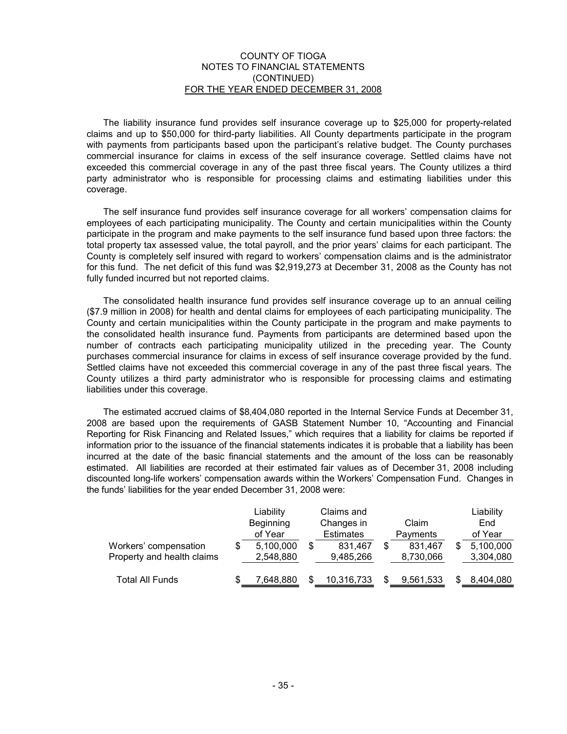The liability insurance fund provides self insurance coverage up to \$25,000 for property-related claims and up to \$50,000 for third-party liabilities. All County departments participate in the program with payments from participants based upon the participant's relative budget. The County purchases commercial insurance for claims in excess of the self insurance coverage. Settled claims have not exceeded this commercial coverage in any of the past three fiscal years. The County utilizes a third party administrator who is responsible for processing claims and estimating liabilities under this coverage.

The self insurance fund provides self insurance coverage for all workers' compensation claims for employees of each participating municipality. The County and certain municipalities within the County participate in the program and make payments to the self insurance fund based upon three factors: the total property tax assessed value, the total payroll, and the prior years' claims for each participant. The County is completely self insured with regard to workers' compensation claims and is the administrator for this fund. The net deficit of this fund was \$2,919,273 at December 31, 2008 as the County has not fully funded incurred but not reported claims.

The consolidated health insurance fund provides self insurance coverage up to an annual ceiling (\$7.9 million in 2008) for health and dental claims for employees of each participating municipality. The County and certain municipalities within the County participate in the program and make payments to the consolidated health insurance fund. Payments from participants are determined based upon the number of contracts each participating municipality utilized in the preceding year. The County purchases commercial insurance for claims in excess of self insurance coverage provided by the fund. Settled claims have not exceeded this commercial coverage in any of the past three fiscal years. The County utilizes a third party administrator who is responsible for processing claims and estimating liabilities under this coverage.

The estimated accrued claims of \$8,404,080 reported in the Internal Service Funds at December 31, 2008 are based upon the requirements of GASB Statement Number 10, "Accounting and Financial Reporting for Risk Financing and Related Issues," which requires that a liability for claims be reported if information prior to the issuance of the financial statements indicates it is probable that a liability has been incurred at the date of the basic financial statements and the amount of the loss can be reasonably estimated. All liabilities are recorded at their estimated fair values as of December 31, 2008 including discounted long-life workers' compensation awards within the Workers' Compensation Fund. Changes in the funds' liabilities for the year ended December 31, 2008 were:

|                                                     | Liability<br>Beginning | Claims and<br>Changes in   | Claim                |   | Liability<br>End       |
|-----------------------------------------------------|------------------------|----------------------------|----------------------|---|------------------------|
|                                                     | of Year                | <b>Estimates</b>           | Payments             |   | of Year                |
| Workers' compensation<br>Property and health claims | 5,100,000<br>2,548,880 | \$<br>831.467<br>9,485,266 | 831.467<br>8,730,066 |   | 5,100,000<br>3,304,080 |
| Total All Funds                                     | \$<br>7,648,880        | 10,316,733                 | 9,561,533            | S | 8,404,080              |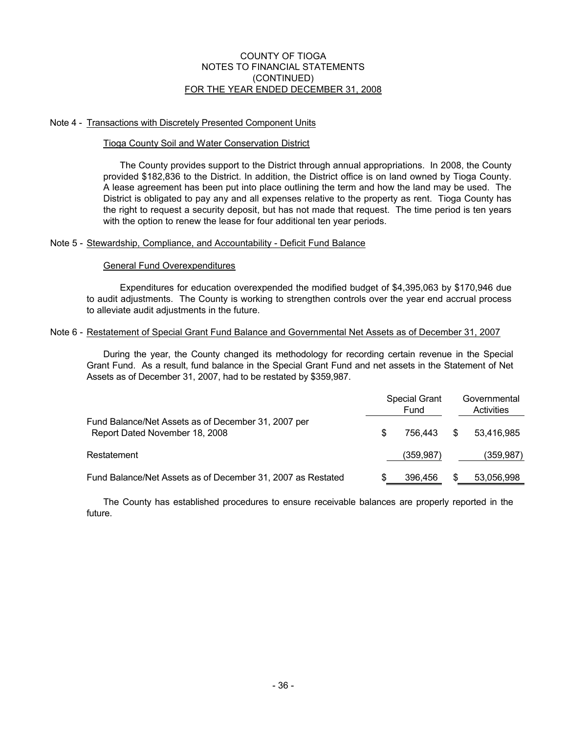# Note 4 - Transactions with Discretely Presented Component Units

## Tioga County Soil and Water Conservation District

The County provides support to the District through annual appropriations. In 2008, the County provided \$182,836 to the District. In addition, the District office is on land owned by Tioga County. A lease agreement has been put into place outlining the term and how the land may be used. The District is obligated to pay any and all expenses relative to the property as rent. Tioga County has the right to request a security deposit, but has not made that request. The time period is ten years with the option to renew the lease for four additional ten year periods.

## Note 5 - Stewardship, Compliance, and Accountability - Deficit Fund Balance

#### General Fund Overexpenditures

Expenditures for education overexpended the modified budget of \$4,395,063 by \$170,946 due to audit adjustments. The County is working to strengthen controls over the year end accrual process to alleviate audit adjustments in the future.

#### Note 6 - Restatement of Special Grant Fund Balance and Governmental Net Assets as of December 31, 2007

During the year, the County changed its methodology for recording certain revenue in the Special Grant Fund. As a result, fund balance in the Special Grant Fund and net assets in the Statement of Net Assets as of December 31, 2007, had to be restated by \$359,987.

|                                                                                       |   | <b>Special Grant</b><br>Fund |   | Governmental<br>Activities |
|---------------------------------------------------------------------------------------|---|------------------------------|---|----------------------------|
| Fund Balance/Net Assets as of December 31, 2007 per<br>Report Dated November 18, 2008 | S | 756.443                      | S | 53.416.985                 |
| Restatement                                                                           |   | (359,987)                    |   | (359,987)                  |
| Fund Balance/Net Assets as of December 31, 2007 as Restated                           |   | 396.456                      |   | 53,056,998                 |

The County has established procedures to ensure receivable balances are properly reported in the future.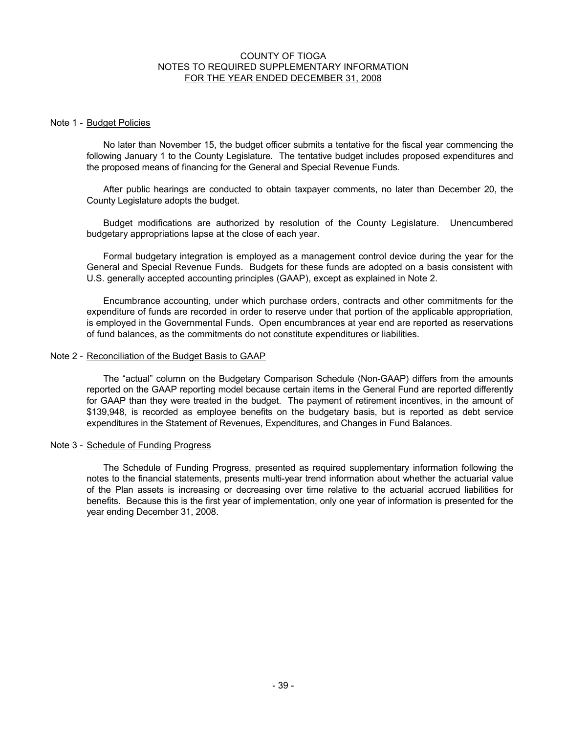## COUNTY OF TIOGA NOTES TO REQUIRED SUPPLEMENTARY INFORMATION FOR THE YEAR ENDED DECEMBER 31, 2008

## Note 1 - Budget Policies

No later than November 15, the budget officer submits a tentative for the fiscal year commencing the following January 1 to the County Legislature. The tentative budget includes proposed expenditures and the proposed means of financing for the General and Special Revenue Funds.

After public hearings are conducted to obtain taxpayer comments, no later than December 20, the County Legislature adopts the budget.

Budget modifications are authorized by resolution of the County Legislature. Unencumbered budgetary appropriations lapse at the close of each year.

Formal budgetary integration is employed as a management control device during the year for the General and Special Revenue Funds. Budgets for these funds are adopted on a basis consistent with U.S. generally accepted accounting principles (GAAP), except as explained in Note 2.

Encumbrance accounting, under which purchase orders, contracts and other commitments for the expenditure of funds are recorded in order to reserve under that portion of the applicable appropriation, is employed in the Governmental Funds. Open encumbrances at year end are reported as reservations of fund balances, as the commitments do not constitute expenditures or liabilities.

#### Note 2 - Reconciliation of the Budget Basis to GAAP

The "actual" column on the Budgetary Comparison Schedule (Non-GAAP) differs from the amounts reported on the GAAP reporting model because certain items in the General Fund are reported differently for GAAP than they were treated in the budget. The payment of retirement incentives, in the amount of \$139,948, is recorded as employee benefits on the budgetary basis, but is reported as debt service expenditures in the Statement of Revenues, Expenditures, and Changes in Fund Balances.

#### Note 3 - Schedule of Funding Progress

The Schedule of Funding Progress, presented as required supplementary information following the notes to the financial statements, presents multi-year trend information about whether the actuarial value of the Plan assets is increasing or decreasing over time relative to the actuarial accrued liabilities for benefits. Because this is the first year of implementation, only one year of information is presented for the year ending December 31, 2008.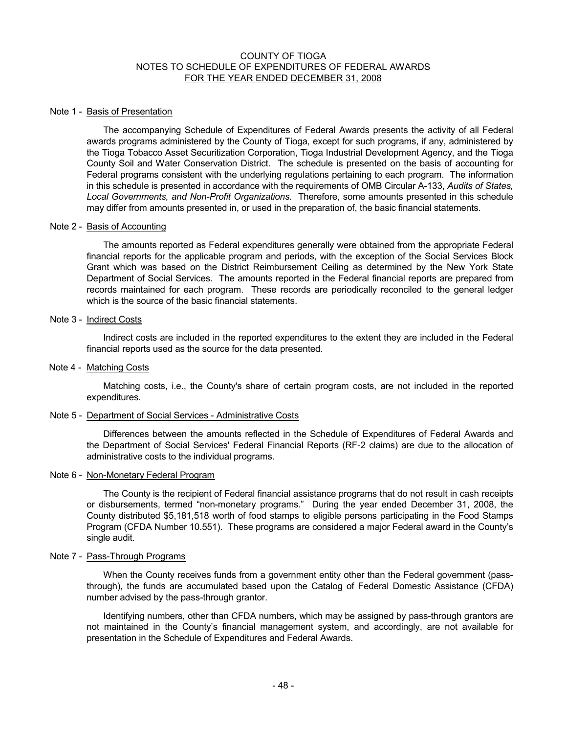# COUNTY OF TIOGA NOTES TO SCHEDULE OF EXPENDITURES OF FEDERAL AWARDS FOR THE YEAR ENDED DECEMBER 31, 2008

#### Note 1 - Basis of Presentation

The accompanying Schedule of Expenditures of Federal Awards presents the activity of all Federal awards programs administered by the County of Tioga, except for such programs, if any, administered by the Tioga Tobacco Asset Securitization Corporation, Tioga Industrial Development Agency, and the Tioga County Soil and Water Conservation District. The schedule is presented on the basis of accounting for Federal programs consistent with the underlying regulations pertaining to each program. The information in this schedule is presented in accordance with the requirements of OMB Circular A-133, *Audits of States, Local Governments, and Non-Profit Organizations.* Therefore, some amounts presented in this schedule may differ from amounts presented in, or used in the preparation of, the basic financial statements.

#### Note 2 - Basis of Accounting

The amounts reported as Federal expenditures generally were obtained from the appropriate Federal financial reports for the applicable program and periods, with the exception of the Social Services Block Grant which was based on the District Reimbursement Ceiling as determined by the New York State Department of Social Services. The amounts reported in the Federal financial reports are prepared from records maintained for each program. These records are periodically reconciled to the general ledger which is the source of the basic financial statements.

## Note 3 - Indirect Costs

Indirect costs are included in the reported expenditures to the extent they are included in the Federal financial reports used as the source for the data presented.

#### Note 4 - Matching Costs

Matching costs, i.e., the County's share of certain program costs, are not included in the reported expenditures.

#### Note 5 - Department of Social Services - Administrative Costs

Differences between the amounts reflected in the Schedule of Expenditures of Federal Awards and the Department of Social Services' Federal Financial Reports (RF-2 claims) are due to the allocation of administrative costs to the individual programs.

#### Note 6 - Non-Monetary Federal Program

The County is the recipient of Federal financial assistance programs that do not result in cash receipts or disbursements, termed "non-monetary programs." During the year ended December 31, 2008, the County distributed \$5,181,518 worth of food stamps to eligible persons participating in the Food Stamps Program (CFDA Number 10.551). These programs are considered a major Federal award in the County's single audit.

#### Note 7 - Pass-Through Programs

When the County receives funds from a government entity other than the Federal government (passthrough), the funds are accumulated based upon the Catalog of Federal Domestic Assistance (CFDA) number advised by the pass-through grantor.

Identifying numbers, other than CFDA numbers, which may be assigned by pass-through grantors are not maintained in the County's financial management system, and accordingly, are not available for presentation in the Schedule of Expenditures and Federal Awards.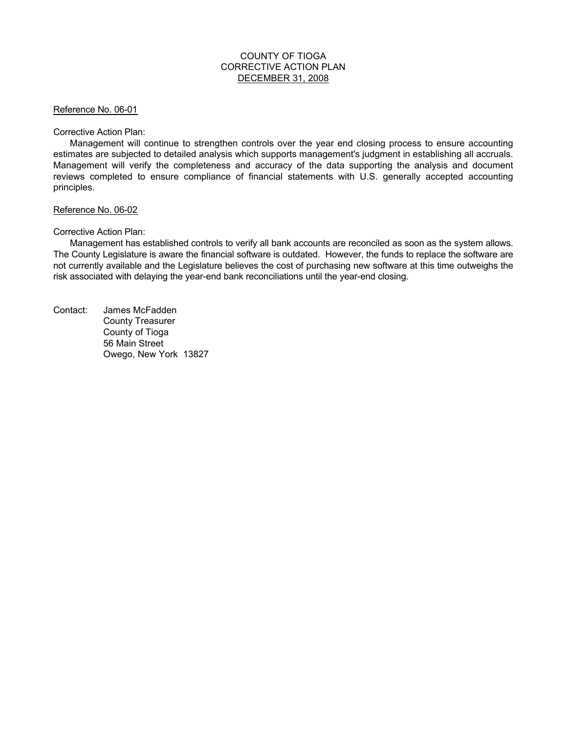# COUNTY OF TIOGA CORRECTIVE ACTION PLAN DECEMBER 31, 2008

Reference No. 06-01

Corrective Action Plan:

Management will continue to strengthen controls over the year end closing process to ensure accounting estimates are subjected to detailed analysis which supports management's judgment in establishing all accruals. Management will verify the completeness and accuracy of the data supporting the analysis and document reviews completed to ensure compliance of financial statements with U.S. generally accepted accounting principles.

## Reference No. 06-02

## Corrective Action Plan:

Management has established controls to verify all bank accounts are reconciled as soon as the system allows. The County Legislature is aware the financial software is outdated. However, the funds to replace the software are not currently available and the Legislature believes the cost of purchasing new software at this time outweighs the risk associated with delaying the year-end bank reconciliations until the year-end closing.

Contact: James McFadden County Treasurer County of Tioga 56 Main Street Owego, New York 13827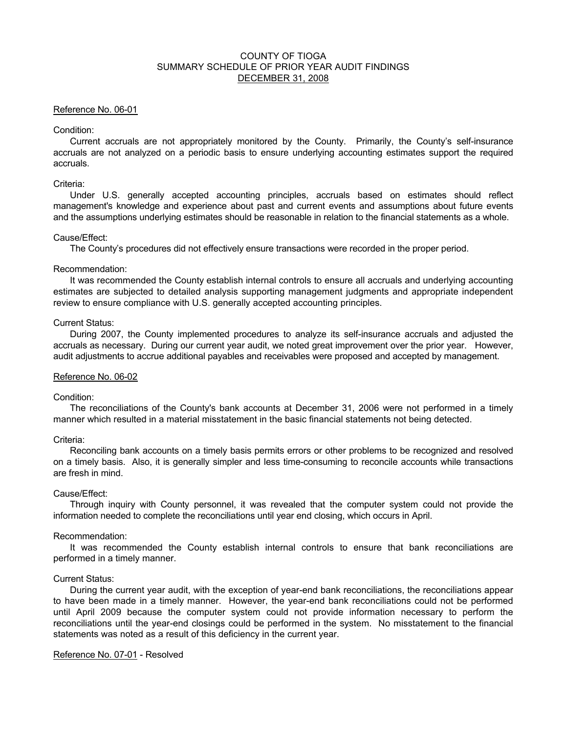# COUNTY OF TIOGA SUMMARY SCHEDULE OF PRIOR YEAR AUDIT FINDINGS DECEMBER 31, 2008

#### Reference No. 06-01

#### Condition:

Current accruals are not appropriately monitored by the County. Primarily, the County's self-insurance accruals are not analyzed on a periodic basis to ensure underlying accounting estimates support the required accruals.

#### Criteria:

Under U.S. generally accepted accounting principles, accruals based on estimates should reflect management's knowledge and experience about past and current events and assumptions about future events and the assumptions underlying estimates should be reasonable in relation to the financial statements as a whole.

#### Cause/Effect:

The County's procedures did not effectively ensure transactions were recorded in the proper period.

#### Recommendation:

It was recommended the County establish internal controls to ensure all accruals and underlying accounting estimates are subjected to detailed analysis supporting management judgments and appropriate independent review to ensure compliance with U.S. generally accepted accounting principles.

## Current Status:

During 2007, the County implemented procedures to analyze its self-insurance accruals and adjusted the accruals as necessary. During our current year audit, we noted great improvement over the prior year. However, audit adjustments to accrue additional payables and receivables were proposed and accepted by management.

## Reference No. 06-02

## Condition:

The reconciliations of the County's bank accounts at December 31, 2006 were not performed in a timely manner which resulted in a material misstatement in the basic financial statements not being detected.

# Criteria:

Reconciling bank accounts on a timely basis permits errors or other problems to be recognized and resolved on a timely basis. Also, it is generally simpler and less time-consuming to reconcile accounts while transactions are fresh in mind.

#### Cause/Effect:

Through inquiry with County personnel, it was revealed that the computer system could not provide the information needed to complete the reconciliations until year end closing, which occurs in April.

## Recommendation:

It was recommended the County establish internal controls to ensure that bank reconciliations are performed in a timely manner.

#### Current Status:

During the current year audit, with the exception of year-end bank reconciliations, the reconciliations appear to have been made in a timely manner. However, the year-end bank reconciliations could not be performed until April 2009 because the computer system could not provide information necessary to perform the reconciliations until the year-end closings could be performed in the system. No misstatement to the financial statements was noted as a result of this deficiency in the current year.

#### Reference No. 07-01 - Resolved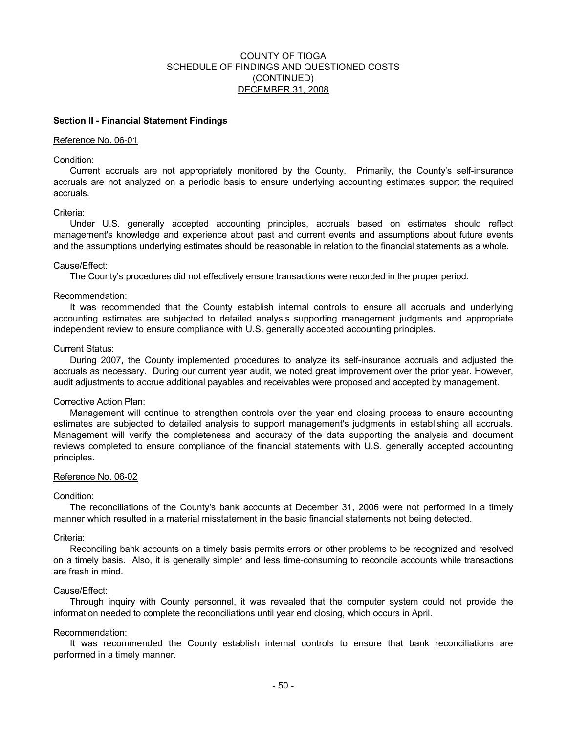# COUNTY OF TIOGA SCHEDULE OF FINDINGS AND QUESTIONED COSTS (CONTINUED) DECEMBER 31, 2008

#### **Section II - Financial Statement Findings**

#### Reference No. 06-01

#### Condition:

Current accruals are not appropriately monitored by the County. Primarily, the County's self-insurance accruals are not analyzed on a periodic basis to ensure underlying accounting estimates support the required accruals.

#### Criteria:

Under U.S. generally accepted accounting principles, accruals based on estimates should reflect management's knowledge and experience about past and current events and assumptions about future events and the assumptions underlying estimates should be reasonable in relation to the financial statements as a whole.

## Cause/Effect:

The County's procedures did not effectively ensure transactions were recorded in the proper period.

#### Recommendation:

It was recommended that the County establish internal controls to ensure all accruals and underlying accounting estimates are subjected to detailed analysis supporting management judgments and appropriate independent review to ensure compliance with U.S. generally accepted accounting principles.

#### Current Status:

During 2007, the County implemented procedures to analyze its self-insurance accruals and adjusted the accruals as necessary. During our current year audit, we noted great improvement over the prior year. However, audit adjustments to accrue additional payables and receivables were proposed and accepted by management.

## Corrective Action Plan:

Management will continue to strengthen controls over the year end closing process to ensure accounting estimates are subjected to detailed analysis to support management's judgments in establishing all accruals. Management will verify the completeness and accuracy of the data supporting the analysis and document reviews completed to ensure compliance of the financial statements with U.S. generally accepted accounting principles.

#### Reference No. 06-02

#### Condition:

The reconciliations of the County's bank accounts at December 31, 2006 were not performed in a timely manner which resulted in a material misstatement in the basic financial statements not being detected.

#### Criteria:

Reconciling bank accounts on a timely basis permits errors or other problems to be recognized and resolved on a timely basis. Also, it is generally simpler and less time-consuming to reconcile accounts while transactions are fresh in mind.

## Cause/Effect:

Through inquiry with County personnel, it was revealed that the computer system could not provide the information needed to complete the reconciliations until year end closing, which occurs in April.

## Recommendation:

It was recommended the County establish internal controls to ensure that bank reconciliations are performed in a timely manner.